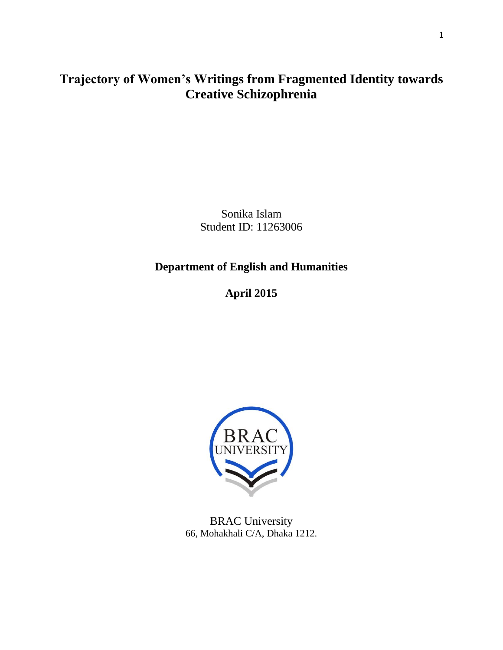## **Trajectory of Women's Writings from Fragmented Identity towards Creative Schizophrenia**

Sonika Islam Student ID: 11263006

### **Department of English and Humanities**

**April 2015**



BRAC University 66, Mohakhali C/A, Dhaka 1212.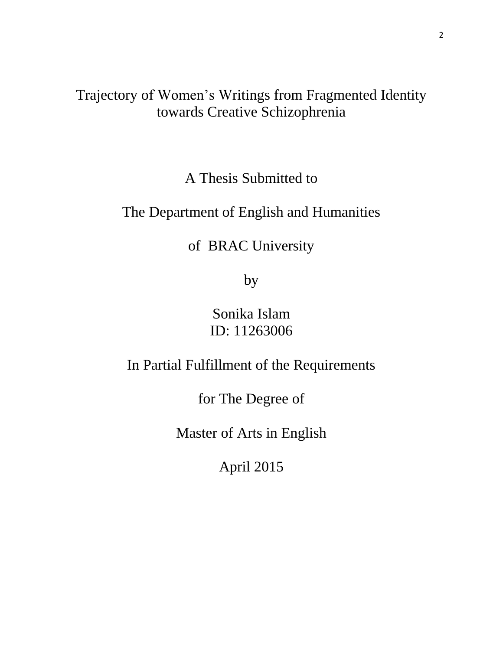# Trajectory of Women"s Writings from Fragmented Identity towards Creative Schizophrenia

A Thesis Submitted to

## The Department of English and Humanities

# of BRAC University

by

Sonika Islam ID: 11263006

In Partial Fulfillment of the Requirements

for The Degree of

Master of Arts in English

April 2015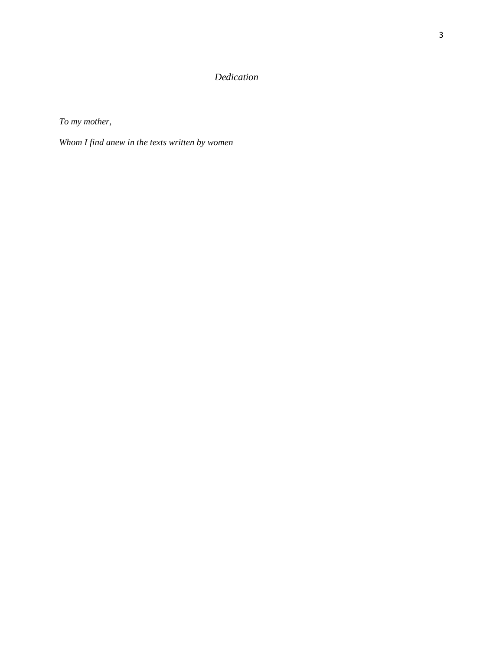### *Dedication*

*To my mother,*

*Whom I find anew in the texts written by women*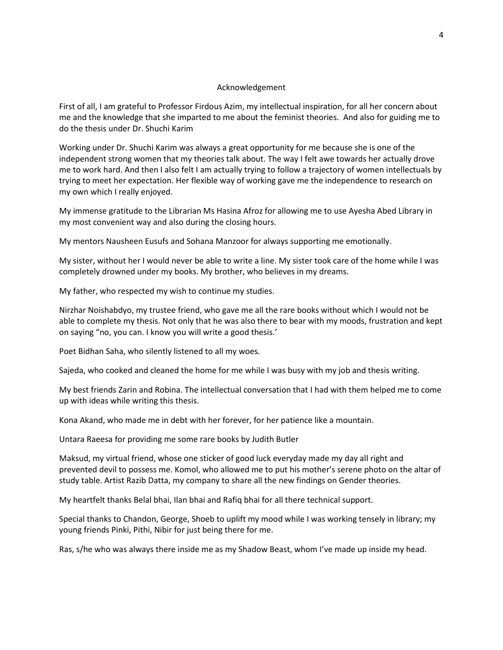#### Acknowledgement

First of all, I am grateful to Professor Firdous Azim, my intellectual inspiration, for all her concern about me and the knowledge that she imparted to me about the feminist theories. And also for guiding me to do the thesis under Dr. Shuchi Karim

Working under Dr. Shuchi Karim was always a great opportunity for me because she is one of the independent strong women that my theories talk about. The way I felt awe towards her actually drove me to work hard. And then I also felt I am actually trying to follow a trajectory of women intellectuals by trying to meet her expectation. Her flexible way of working gave me the independence to research on my own which I really enjoyed.

My immense gratitude to the Librarian Ms Hasina Afroz for allowing me to use Ayesha Abed Library in my most convenient way and also during the closing hours.

My mentors Nausheen Eusufs and Sohana Manzoor for always supporting me emotionally.

My sister, without her I would never be able to write a line. My sister took care of the home while I was completely drowned under my books. My brother, who believes in my dreams.

My father, who respected my wish to continue my studies.

Nirzhar Noishabdyo, my trustee friend, who gave me all the rare books without which I would not be able to complete my thesis. Not only that he was also there to bear with my moods, frustration and kept on saying "no, you can. I know you will write a good thesis.'

Poet Bidhan Saha, who silently listened to all my woes.

Sajeda, who cooked and cleaned the home for me while I was busy with my job and thesis writing.

My best friends Zarin and Robina. The intellectual conversation that I had with them helped me to come up with ideas while writing this thesis.

Kona Akand, who made me in debt with her forever, for her patience like a mountain.

Untara Raeesa for providing me some rare books by Judith Butler

Maksud, my virtual friend, whose one sticker of good luck everyday made my day all right and prevented devil to possess me. Komol, who allowed me to put his mother's serene photo on the altar of study table. Artist Razib Datta, my company to share all the new findings on Gender theories.

My heartfelt thanks Belal bhai, Ilan bhai and Rafiq bhai for all there technical support.

Special thanks to Chandon, George, Shoeb to uplift my mood while I was working tensely in library; my young friends Pinki, Pithi, Nibir for just being there for me.

Ras, s/he who was always there inside me as my Shadow Beast, whom I've made up inside my head.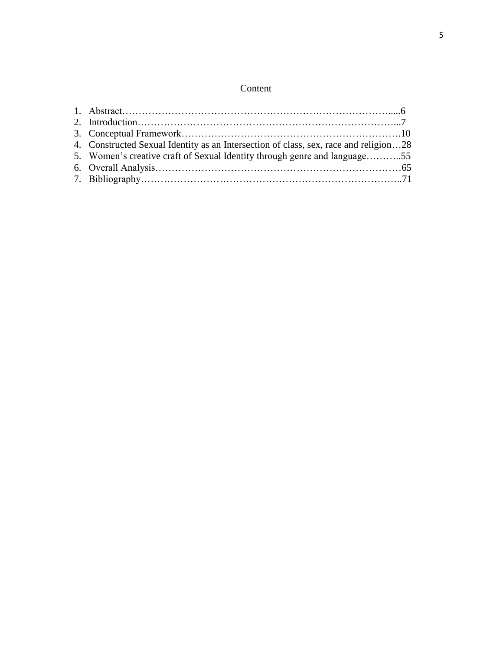### Content

| 4. Constructed Sexual Identity as an Intersection of class, sex, race and religion28 |  |
|--------------------------------------------------------------------------------------|--|
| 5. Women's creative craft of Sexual Identity through genre and language55            |  |
|                                                                                      |  |
|                                                                                      |  |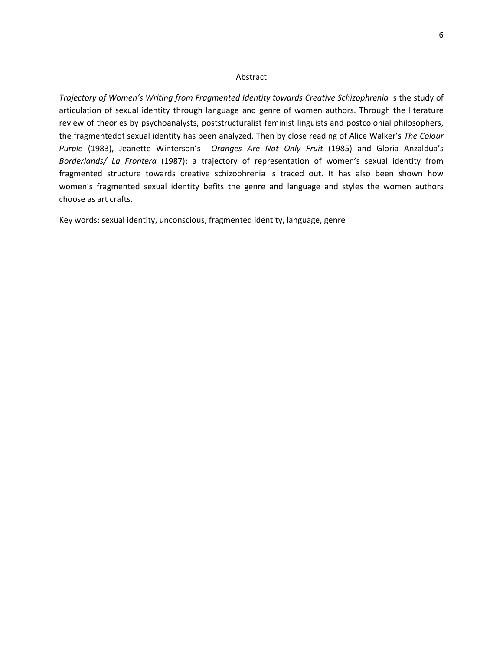#### Abstract

*Trajectory of Women's Writing from Fragmented Identity towards Creative Schizophrenia is the study of* articulation of sexual identity through language and genre of women authors. Through the literature review of theories by psychoanalysts, poststructuralist feminist linguists and postcolonial philosophers, the fragmentedof sexual identity has been analyzed. Then by close reading of Alice Walker's *The Colour Purple* (1983), Jeanette Winterson's *Oranges Are Not Only Fruit* (1985) and Gloria Anzaldua's *Borderlands/ La Frontera* (1987); a trajectory of representation of women's sexual identity from fragmented structure towards creative schizophrenia is traced out. It has also been shown how women's fragmented sexual identity befits the genre and language and styles the women authors choose as art crafts.

Key words: sexual identity, unconscious, fragmented identity, language, genre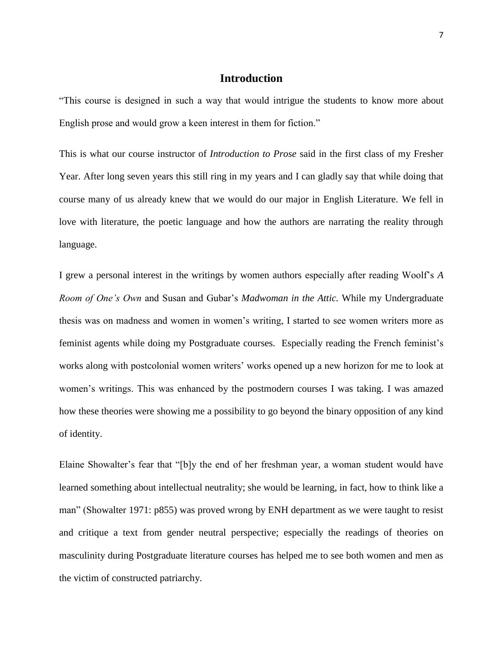### **Introduction**

"This course is designed in such a way that would intrigue the students to know more about English prose and would grow a keen interest in them for fiction."

This is what our course instructor of *Introduction to Prose* said in the first class of my Fresher Year. After long seven years this still ring in my years and I can gladly say that while doing that course many of us already knew that we would do our major in English Literature. We fell in love with literature, the poetic language and how the authors are narrating the reality through language.

I grew a personal interest in the writings by women authors especially after reading Woolf"s *A Room of One's Own* and Susan and Gubar"s *Madwoman in the Attic.* While my Undergraduate thesis was on madness and women in women"s writing, I started to see women writers more as feminist agents while doing my Postgraduate courses. Especially reading the French feminist"s works along with postcolonial women writers" works opened up a new horizon for me to look at women's writings. This was enhanced by the postmodern courses I was taking. I was amazed how these theories were showing me a possibility to go beyond the binary opposition of any kind of identity.

Elaine Showalter's fear that "[b]y the end of her freshman year, a woman student would have learned something about intellectual neutrality; she would be learning, in fact, how to think like a man" (Showalter 1971: p855) was proved wrong by ENH department as we were taught to resist and critique a text from gender neutral perspective; especially the readings of theories on masculinity during Postgraduate literature courses has helped me to see both women and men as the victim of constructed patriarchy.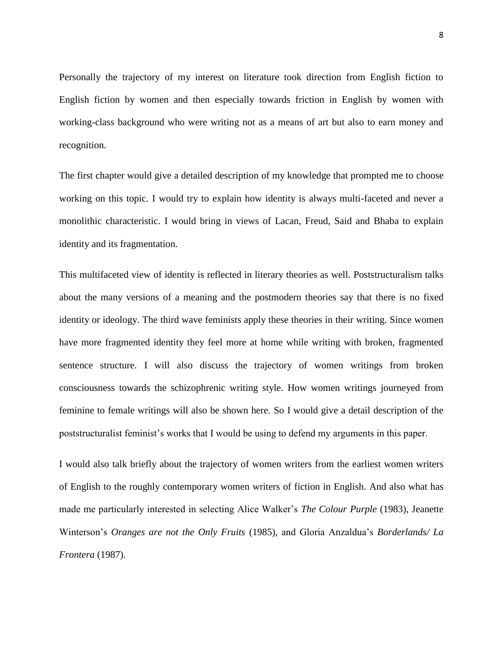Personally the trajectory of my interest on literature took direction from English fiction to English fiction by women and then especially towards friction in English by women with working-class background who were writing not as a means of art but also to earn money and recognition.

The first chapter would give a detailed description of my knowledge that prompted me to choose working on this topic. I would try to explain how identity is always multi-faceted and never a monolithic characteristic. I would bring in views of Lacan, Freud, Said and Bhaba to explain identity and its fragmentation.

This multifaceted view of identity is reflected in literary theories as well. Poststructuralism talks about the many versions of a meaning and the postmodern theories say that there is no fixed identity or ideology. The third wave feminists apply these theories in their writing. Since women have more fragmented identity they feel more at home while writing with broken, fragmented sentence structure. I will also discuss the trajectory of women writings from broken consciousness towards the schizophrenic writing style. How women writings journeyed from feminine to female writings will also be shown here. So I would give a detail description of the poststructuralist feminist"s works that I would be using to defend my arguments in this paper.

I would also talk briefly about the trajectory of women writers from the earliest women writers of English to the roughly contemporary women writers of fiction in English. And also what has made me particularly interested in selecting Alice Walker"s *The Colour Purple* (1983), Jeanette Winterson"s *Oranges are not the Only Fruits* (1985)*,* and Gloria Anzaldua"s *Borderlands/ La Frontera* (1987)*.*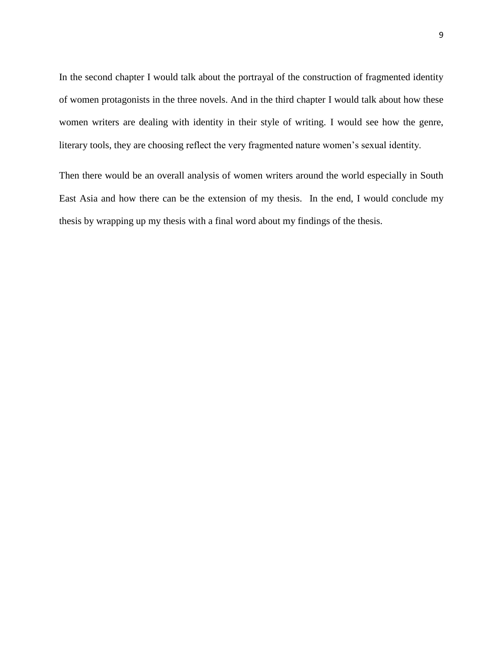In the second chapter I would talk about the portrayal of the construction of fragmented identity of women protagonists in the three novels. And in the third chapter I would talk about how these women writers are dealing with identity in their style of writing. I would see how the genre, literary tools, they are choosing reflect the very fragmented nature women's sexual identity.

Then there would be an overall analysis of women writers around the world especially in South East Asia and how there can be the extension of my thesis. In the end, I would conclude my thesis by wrapping up my thesis with a final word about my findings of the thesis.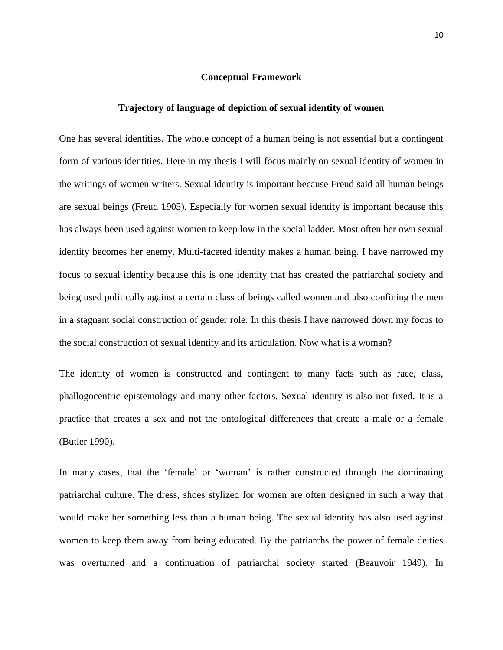#### **Conceptual Framework**

#### **Trajectory of language of depiction of sexual identity of women**

One has several identities. The whole concept of a human being is not essential but a contingent form of various identities. Here in my thesis I will focus mainly on sexual identity of women in the writings of women writers. Sexual identity is important because Freud said all human beings are sexual beings (Freud 1905). Especially for women sexual identity is important because this has always been used against women to keep low in the social ladder. Most often her own sexual identity becomes her enemy. Multi-faceted identity makes a human being. I have narrowed my focus to sexual identity because this is one identity that has created the patriarchal society and being used politically against a certain class of beings called women and also confining the men in a stagnant social construction of gender role. In this thesis I have narrowed down my focus to the social construction of sexual identity and its articulation. Now what is a woman?

The identity of women is constructed and contingent to many facts such as race, class, phallogocentric epistemology and many other factors. Sexual identity is also not fixed. It is a practice that creates a sex and not the ontological differences that create a male or a female (Butler 1990).

In many cases, that the 'female' or 'woman' is rather constructed through the dominating patriarchal culture. The dress, shoes stylized for women are often designed in such a way that would make her something less than a human being. The sexual identity has also used against women to keep them away from being educated. By the patriarchs the power of female deities was overturned and a continuation of patriarchal society started (Beauvoir 1949). In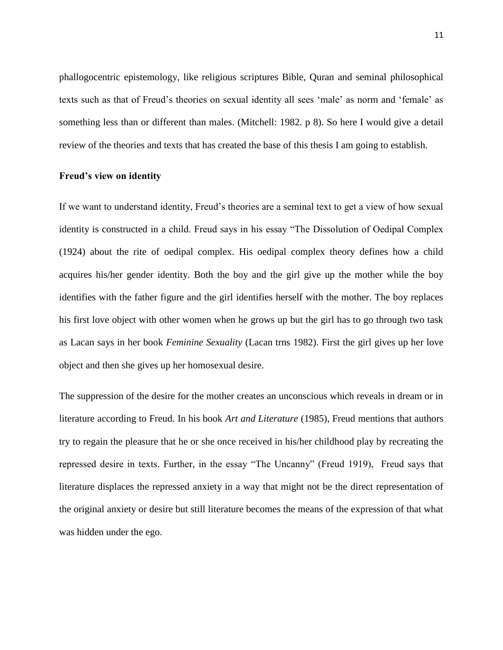phallogocentric epistemology, like religious scriptures Bible, Quran and seminal philosophical texts such as that of Freud"s theories on sexual identity all sees "male" as norm and "female" as something less than or different than males. (Mitchell: 1982. p 8). So here I would give a detail review of the theories and texts that has created the base of this thesis I am going to establish.

#### **Freud's view on identity**

If we want to understand identity, Freud"s theories are a seminal text to get a view of how sexual identity is constructed in a child. Freud says in his essay "The Dissolution of Oedipal Complex (1924) about the rite of oedipal complex. His oedipal complex theory defines how a child acquires his/her gender identity. Both the boy and the girl give up the mother while the boy identifies with the father figure and the girl identifies herself with the mother. The boy replaces his first love object with other women when he grows up but the girl has to go through two task as Lacan says in her book *Feminine Sexuality* (Lacan trns 1982). First the girl gives up her love object and then she gives up her homosexual desire.

The suppression of the desire for the mother creates an unconscious which reveals in dream or in literature according to Freud. In his book *Art and Literature* (1985), Freud mentions that authors try to regain the pleasure that he or she once received in his/her childhood play by recreating the repressed desire in texts. Further, in the essay "The Uncanny" (Freud 1919), Freud says that literature displaces the repressed anxiety in a way that might not be the direct representation of the original anxiety or desire but still literature becomes the means of the expression of that what was hidden under the ego.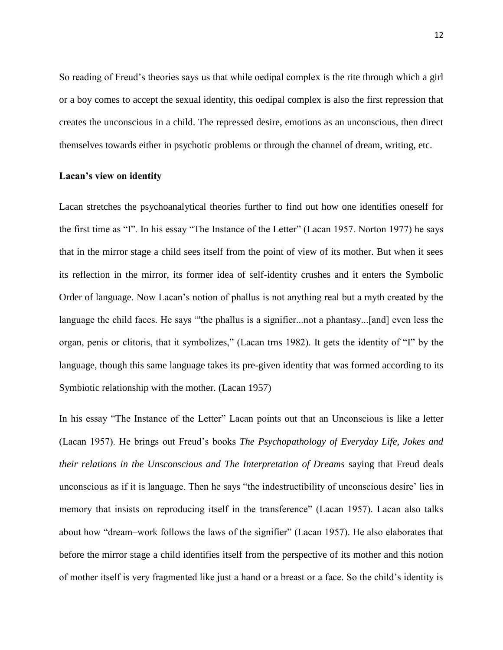So reading of Freud's theories says us that while oedipal complex is the rite through which a girl or a boy comes to accept the sexual identity, this oedipal complex is also the first repression that creates the unconscious in a child. The repressed desire, emotions as an unconscious, then direct themselves towards either in psychotic problems or through the channel of dream, writing, etc.

#### **Lacan's view on identity**

Lacan stretches the psychoanalytical theories further to find out how one identifies oneself for the first time as "I". In his essay "The Instance of the Letter" (Lacan 1957. Norton 1977) he says that in the mirror stage a child sees itself from the point of view of its mother. But when it sees its reflection in the mirror, its former idea of self-identity crushes and it enters the Symbolic Order of language. Now Lacan"s notion of phallus is not anything real but a myth created by the language the child faces. He says "'the phallus is a signifier...not a phantasy...[and] even less the organ, penis or clitoris, that it symbolizes," (Lacan trns 1982). It gets the identity of "I" by the language, though this same language takes its pre-given identity that was formed according to its Symbiotic relationship with the mother. (Lacan 1957)

In his essay "The Instance of the Letter" Lacan points out that an Unconscious is like a letter (Lacan 1957). He brings out Freud"s books *The Psychopathology of Everyday Life, Jokes and their relations in the Unsconscious and The Interpretation of Dreams saying that Freud deals* unconscious as if it is language. Then he says "the indestructibility of unconscious desire' lies in memory that insists on reproducing itself in the transference" (Lacan 1957). Lacan also talks about how "dream–work follows the laws of the signifier" (Lacan 1957). He also elaborates that before the mirror stage a child identifies itself from the perspective of its mother and this notion of mother itself is very fragmented like just a hand or a breast or a face. So the child"s identity is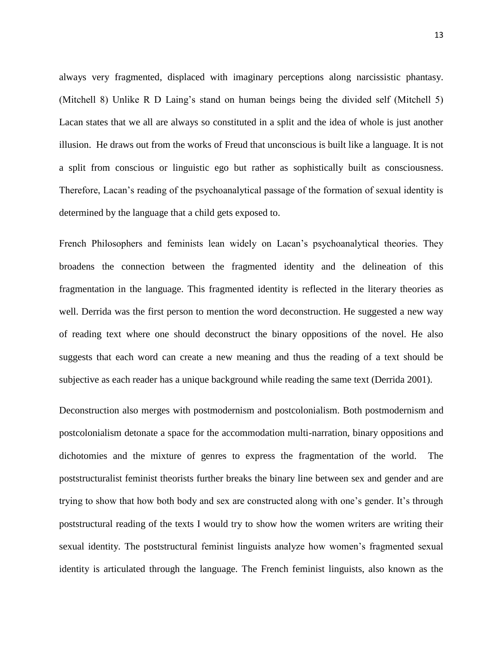always very fragmented, displaced with imaginary perceptions along narcissistic phantasy. (Mitchell 8) Unlike R D Laing"s stand on human beings being the divided self (Mitchell 5) Lacan states that we all are always so constituted in a split and the idea of whole is just another illusion. He draws out from the works of Freud that unconscious is built like a language. It is not a split from conscious or linguistic ego but rather as sophistically built as consciousness. Therefore, Lacan"s reading of the psychoanalytical passage of the formation of sexual identity is determined by the language that a child gets exposed to.

French Philosophers and feminists lean widely on Lacan"s psychoanalytical theories. They broadens the connection between the fragmented identity and the delineation of this fragmentation in the language. This fragmented identity is reflected in the literary theories as well. Derrida was the first person to mention the word deconstruction. He suggested a new way of reading text where one should deconstruct the binary oppositions of the novel. He also suggests that each word can create a new meaning and thus the reading of a text should be subjective as each reader has a unique background while reading the same text (Derrida 2001).

Deconstruction also merges with postmodernism and postcolonialism. Both postmodernism and postcolonialism detonate a space for the accommodation multi-narration, binary oppositions and dichotomies and the mixture of genres to express the fragmentation of the world. The poststructuralist feminist theorists further breaks the binary line between sex and gender and are trying to show that how both body and sex are constructed along with one"s gender. It"s through poststructural reading of the texts I would try to show how the women writers are writing their sexual identity. The poststructural feminist linguists analyze how women"s fragmented sexual identity is articulated through the language. The French feminist linguists, also known as the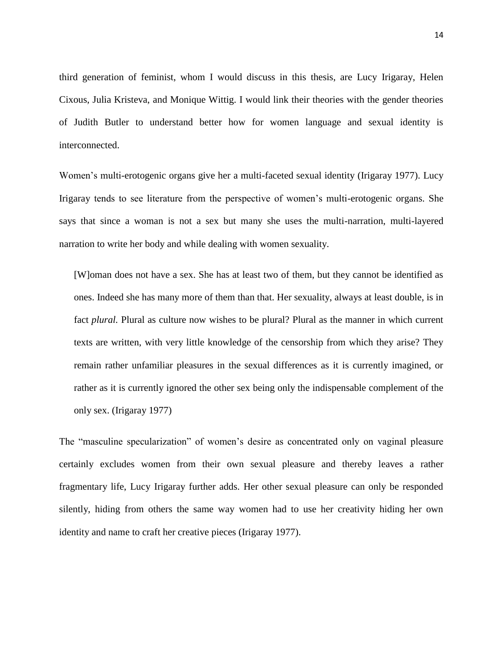third generation of feminist, whom I would discuss in this thesis, are Lucy Irigaray, Helen Cixous, Julia Kristeva, and Monique Wittig. I would link their theories with the gender theories of Judith Butler to understand better how for women language and sexual identity is interconnected.

Women"s multi-erotogenic organs give her a multi-faceted sexual identity (Irigaray 1977). Lucy Irigaray tends to see literature from the perspective of women"s multi-erotogenic organs. She says that since a woman is not a sex but many she uses the multi-narration, multi-layered narration to write her body and while dealing with women sexuality.

[W]oman does not have a sex. She has at least two of them, but they cannot be identified as ones. Indeed she has many more of them than that. Her sexuality, always at least double, is in fact *plural.* Plural as culture now wishes to be plural? Plural as the manner in which current texts are written, with very little knowledge of the censorship from which they arise? They remain rather unfamiliar pleasures in the sexual differences as it is currently imagined, or rather as it is currently ignored the other sex being only the indispensable complement of the only sex. (Irigaray 1977)

The "masculine specularization" of women's desire as concentrated only on vaginal pleasure certainly excludes women from their own sexual pleasure and thereby leaves a rather fragmentary life, Lucy Irigaray further adds. Her other sexual pleasure can only be responded silently, hiding from others the same way women had to use her creativity hiding her own identity and name to craft her creative pieces (Irigaray 1977).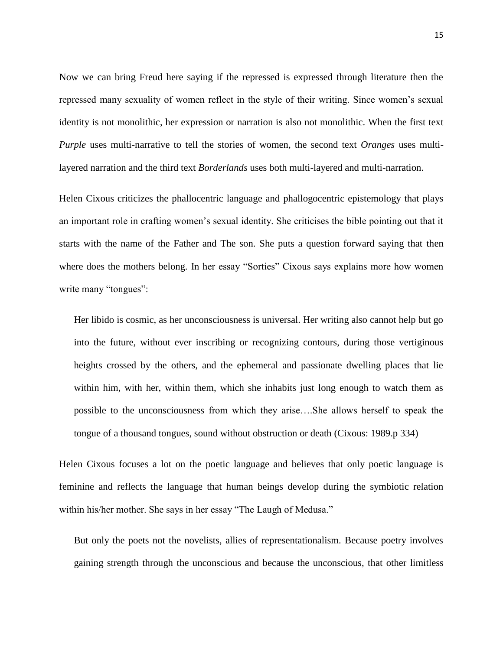Now we can bring Freud here saying if the repressed is expressed through literature then the repressed many sexuality of women reflect in the style of their writing. Since women"s sexual identity is not monolithic, her expression or narration is also not monolithic. When the first text *Purple* uses multi-narrative to tell the stories of women, the second text *Oranges* uses multilayered narration and the third text *Borderlands* uses both multi-layered and multi-narration.

Helen Cixous criticizes the phallocentric language and phallogocentric epistemology that plays an important role in crafting women"s sexual identity. She criticises the bible pointing out that it starts with the name of the Father and The son. She puts a question forward saying that then where does the mothers belong. In her essay "Sorties" Cixous says explains more how women write many "tongues":

Her libido is cosmic, as her unconsciousness is universal. Her writing also cannot help but go into the future, without ever inscribing or recognizing contours, during those vertiginous heights crossed by the others, and the ephemeral and passionate dwelling places that lie within him, with her, within them, which she inhabits just long enough to watch them as possible to the unconsciousness from which they arise….She allows herself to speak the tongue of a thousand tongues, sound without obstruction or death (Cixous: 1989.p 334)

Helen Cixous focuses a lot on the poetic language and believes that only poetic language is feminine and reflects the language that human beings develop during the symbiotic relation within his/her mother. She says in her essay "The Laugh of Medusa."

But only the poets not the novelists, allies of representationalism. Because poetry involves gaining strength through the unconscious and because the unconscious, that other limitless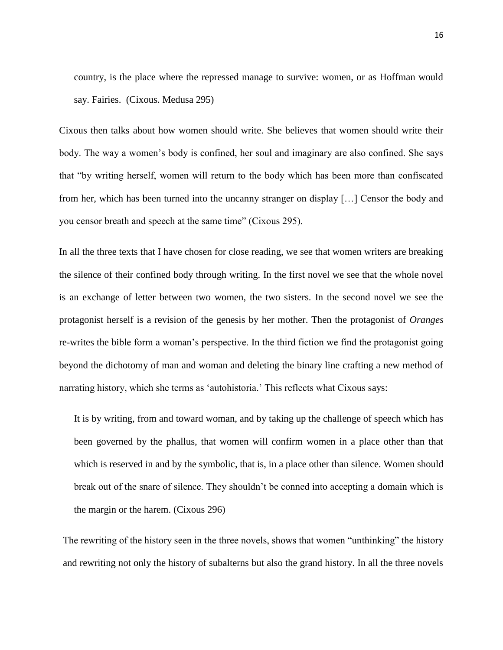country, is the place where the repressed manage to survive: women, or as Hoffman would say. Fairies. (Cixous. Medusa 295)

Cixous then talks about how women should write. She believes that women should write their body. The way a women's body is confined, her soul and imaginary are also confined. She says that "by writing herself, women will return to the body which has been more than confiscated from her, which has been turned into the uncanny stranger on display […] Censor the body and you censor breath and speech at the same time" (Cixous 295).

In all the three texts that I have chosen for close reading, we see that women writers are breaking the silence of their confined body through writing. In the first novel we see that the whole novel is an exchange of letter between two women, the two sisters. In the second novel we see the protagonist herself is a revision of the genesis by her mother. Then the protagonist of *Oranges* re-writes the bible form a woman"s perspective. In the third fiction we find the protagonist going beyond the dichotomy of man and woman and deleting the binary line crafting a new method of narrating history, which she terms as "autohistoria." This reflects what Cixous says:

It is by writing, from and toward woman, and by taking up the challenge of speech which has been governed by the phallus, that women will confirm women in a place other than that which is reserved in and by the symbolic, that is, in a place other than silence. Women should break out of the snare of silence. They shouldn"t be conned into accepting a domain which is the margin or the harem. (Cixous 296)

The rewriting of the history seen in the three novels, shows that women "unthinking" the history and rewriting not only the history of subalterns but also the grand history. In all the three novels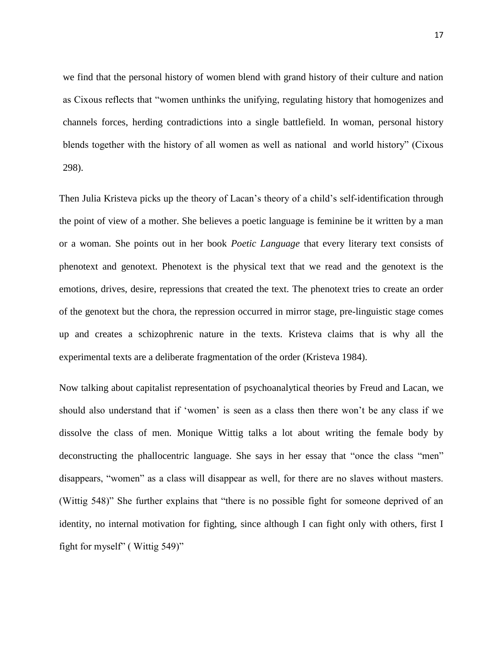we find that the personal history of women blend with grand history of their culture and nation as Cixous reflects that "women unthinks the unifying, regulating history that homogenizes and channels forces, herding contradictions into a single battlefield. In woman, personal history blends together with the history of all women as well as national and world history" (Cixous 298).

Then Julia Kristeva picks up the theory of Lacan's theory of a child's self-identification through the point of view of a mother. She believes a poetic language is feminine be it written by a man or a woman. She points out in her book *Poetic Language* that every literary text consists of phenotext and genotext. Phenotext is the physical text that we read and the genotext is the emotions, drives, desire, repressions that created the text. The phenotext tries to create an order of the genotext but the chora, the repression occurred in mirror stage, pre-linguistic stage comes up and creates a schizophrenic nature in the texts. Kristeva claims that is why all the experimental texts are a deliberate fragmentation of the order (Kristeva 1984).

Now talking about capitalist representation of psychoanalytical theories by Freud and Lacan, we should also understand that if 'women' is seen as a class then there won't be any class if we dissolve the class of men. Monique Wittig talks a lot about writing the female body by deconstructing the phallocentric language. She says in her essay that "once the class "men" disappears, "women" as a class will disappear as well, for there are no slaves without masters. (Wittig 548)" She further explains that "there is no possible fight for someone deprived of an identity, no internal motivation for fighting, since although I can fight only with others, first I fight for myself" ( Wittig 549)"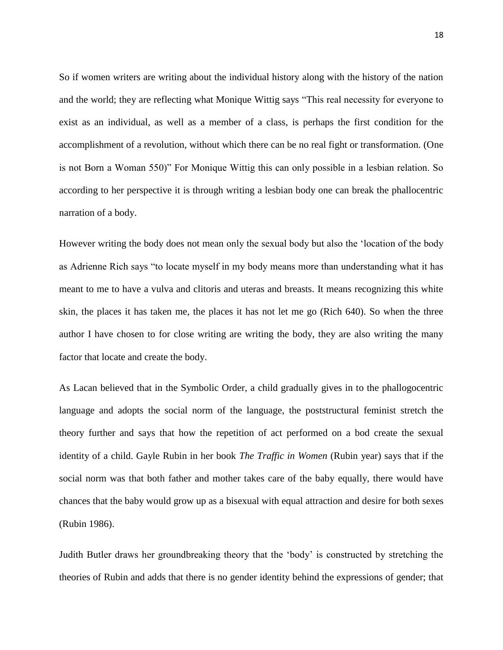So if women writers are writing about the individual history along with the history of the nation and the world; they are reflecting what Monique Wittig says "This real necessity for everyone to exist as an individual, as well as a member of a class, is perhaps the first condition for the accomplishment of a revolution, without which there can be no real fight or transformation. (One is not Born a Woman 550)" For Monique Wittig this can only possible in a lesbian relation. So according to her perspective it is through writing a lesbian body one can break the phallocentric narration of a body.

However writing the body does not mean only the sexual body but also the "location of the body as Adrienne Rich says "to locate myself in my body means more than understanding what it has meant to me to have a vulva and clitoris and uteras and breasts. It means recognizing this white skin, the places it has taken me, the places it has not let me go (Rich 640). So when the three author I have chosen to for close writing are writing the body, they are also writing the many factor that locate and create the body.

As Lacan believed that in the Symbolic Order, a child gradually gives in to the phallogocentric language and adopts the social norm of the language, the poststructural feminist stretch the theory further and says that how the repetition of act performed on a bod create the sexual identity of a child. Gayle Rubin in her book *The Traffic in Women* (Rubin year) says that if the social norm was that both father and mother takes care of the baby equally, there would have chances that the baby would grow up as a bisexual with equal attraction and desire for both sexes (Rubin 1986).

Judith Butler draws her groundbreaking theory that the "body" is constructed by stretching the theories of Rubin and adds that there is no gender identity behind the expressions of gender; that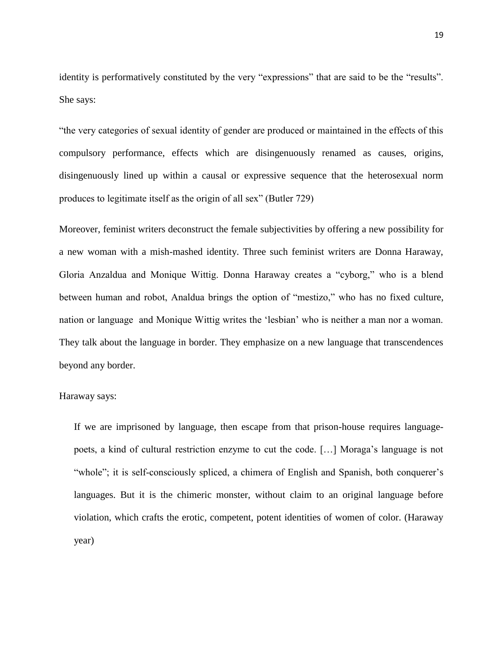identity is performatively constituted by the very "expressions" that are said to be the "results". She says:

"the very categories of sexual identity of gender are produced or maintained in the effects of this compulsory performance, effects which are disingenuously renamed as causes, origins, disingenuously lined up within a causal or expressive sequence that the heterosexual norm produces to legitimate itself as the origin of all sex" (Butler 729)

Moreover, feminist writers deconstruct the female subjectivities by offering a new possibility for a new woman with a mish-mashed identity. Three such feminist writers are Donna Haraway, Gloria Anzaldua and Monique Wittig. Donna Haraway creates a "cyborg," who is a blend between human and robot, Analdua brings the option of "mestizo," who has no fixed culture, nation or language and Monique Wittig writes the "lesbian" who is neither a man nor a woman. They talk about the language in border. They emphasize on a new language that transcendences beyond any border.

#### Haraway says:

If we are imprisoned by language, then escape from that prison-house requires languagepoets, a kind of cultural restriction enzyme to cut the code. […] Moraga"s language is not "whole"; it is self-consciously spliced, a chimera of English and Spanish, both conquerer's languages. But it is the chimeric monster, without claim to an original language before violation, which crafts the erotic, competent, potent identities of women of color. (Haraway year)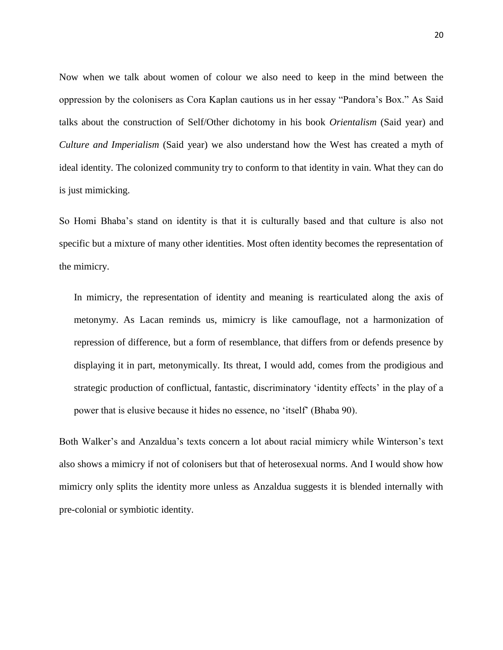Now when we talk about women of colour we also need to keep in the mind between the oppression by the colonisers as Cora Kaplan cautions us in her essay "Pandora"s Box." As Said talks about the construction of Self/Other dichotomy in his book *Orientalism* (Said year) and *Culture and Imperialism* (Said year) we also understand how the West has created a myth of ideal identity. The colonized community try to conform to that identity in vain. What they can do is just mimicking.

So Homi Bhaba"s stand on identity is that it is culturally based and that culture is also not specific but a mixture of many other identities. Most often identity becomes the representation of the mimicry.

In mimicry, the representation of identity and meaning is rearticulated along the axis of metonymy. As Lacan reminds us, mimicry is like camouflage, not a harmonization of repression of difference, but a form of resemblance, that differs from or defends presence by displaying it in part, metonymically. Its threat, I would add, comes from the prodigious and strategic production of conflictual, fantastic, discriminatory 'identity effects' in the play of a power that is elusive because it hides no essence, no "itself" (Bhaba 90).

Both Walker's and Anzaldua's texts concern a lot about racial mimicry while Winterson's text also shows a mimicry if not of colonisers but that of heterosexual norms. And I would show how mimicry only splits the identity more unless as Anzaldua suggests it is blended internally with pre-colonial or symbiotic identity.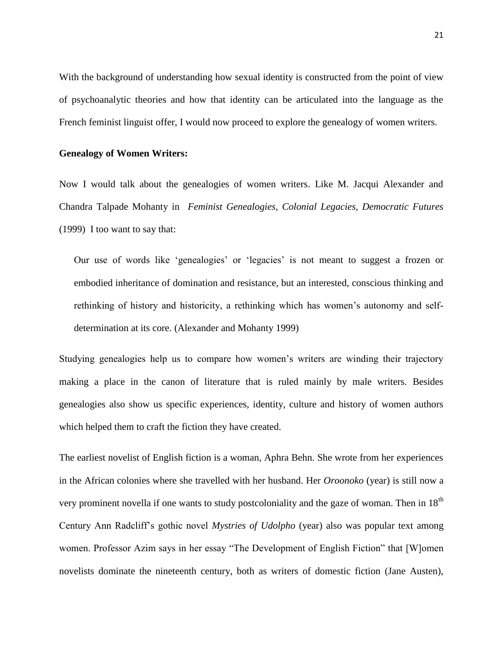With the background of understanding how sexual identity is constructed from the point of view of psychoanalytic theories and how that identity can be articulated into the language as the French feminist linguist offer, I would now proceed to explore the genealogy of women writers.

#### **Genealogy of Women Writers:**

Now I would talk about the genealogies of women writers. Like M. Jacqui Alexander and Chandra Talpade Mohanty in *Feminist Genealogies, Colonial Legacies, Democratic Futures*  (1999) I too want to say that:

Our use of words like "genealogies" or "legacies" is not meant to suggest a frozen or embodied inheritance of domination and resistance, but an interested, conscious thinking and rethinking of history and historicity, a rethinking which has women"s autonomy and selfdetermination at its core. (Alexander and Mohanty 1999)

Studying genealogies help us to compare how women's writers are winding their trajectory making a place in the canon of literature that is ruled mainly by male writers. Besides genealogies also show us specific experiences, identity, culture and history of women authors which helped them to craft the fiction they have created.

The earliest novelist of English fiction is a woman, Aphra Behn. She wrote from her experiences in the African colonies where she travelled with her husband. Her *Oroonoko* (year) is still now a very prominent novella if one wants to study postcoloniality and the gaze of woman. Then in 18<sup>th</sup> Century Ann Radcliff"s gothic novel *Mystries of Udolpho* (year) also was popular text among women. Professor Azim says in her essay "The Development of English Fiction" that [W]omen novelists dominate the nineteenth century, both as writers of domestic fiction (Jane Austen),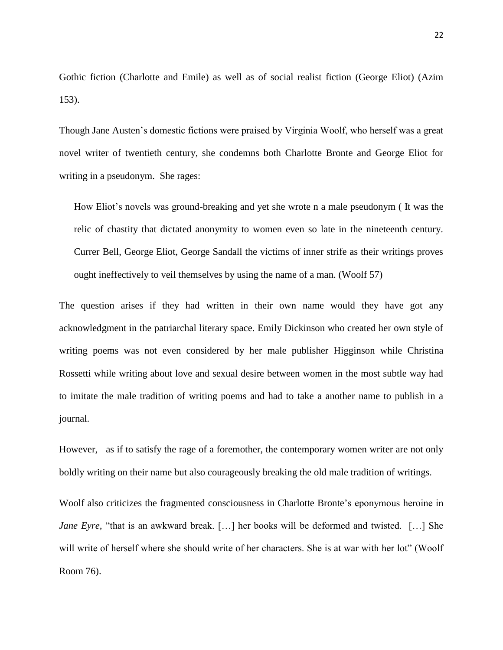Gothic fiction (Charlotte and Emile) as well as of social realist fiction (George Eliot) (Azim 153).

Though Jane Austen"s domestic fictions were praised by Virginia Woolf, who herself was a great novel writer of twentieth century, she condemns both Charlotte Bronte and George Eliot for writing in a pseudonym. She rages:

How Eliot"s novels was ground-breaking and yet she wrote n a male pseudonym ( It was the relic of chastity that dictated anonymity to women even so late in the nineteenth century. Currer Bell, George Eliot, George Sandall the victims of inner strife as their writings proves ought ineffectively to veil themselves by using the name of a man. (Woolf 57)

The question arises if they had written in their own name would they have got any acknowledgment in the patriarchal literary space. Emily Dickinson who created her own style of writing poems was not even considered by her male publisher Higginson while Christina Rossetti while writing about love and sexual desire between women in the most subtle way had to imitate the male tradition of writing poems and had to take a another name to publish in a journal.

However, as if to satisfy the rage of a foremother, the contemporary women writer are not only boldly writing on their name but also courageously breaking the old male tradition of writings.

Woolf also criticizes the fragmented consciousness in Charlotte Bronte's eponymous heroine in *Jane Eyre*, "that is an awkward break. [...] her books will be deformed and twisted. [...] She will write of herself where she should write of her characters. She is at war with her lot" (Woolf Room 76).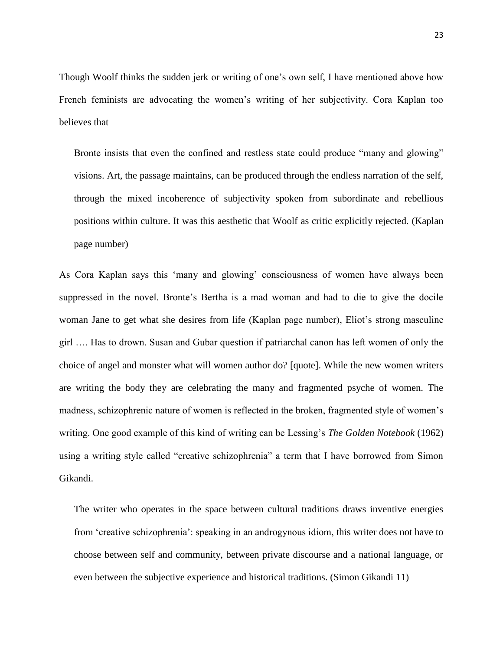Though Woolf thinks the sudden jerk or writing of one"s own self, I have mentioned above how French feminists are advocating the women"s writing of her subjectivity. Cora Kaplan too believes that

Bronte insists that even the confined and restless state could produce "many and glowing" visions. Art, the passage maintains, can be produced through the endless narration of the self, through the mixed incoherence of subjectivity spoken from subordinate and rebellious positions within culture. It was this aesthetic that Woolf as critic explicitly rejected. (Kaplan page number)

As Cora Kaplan says this "many and glowing" consciousness of women have always been suppressed in the novel. Bronte's Bertha is a mad woman and had to die to give the docile woman Jane to get what she desires from life (Kaplan page number), Eliot"s strong masculine girl …. Has to drown. Susan and Gubar question if patriarchal canon has left women of only the choice of angel and monster what will women author do? [quote]. While the new women writers are writing the body they are celebrating the many and fragmented psyche of women. The madness, schizophrenic nature of women is reflected in the broken, fragmented style of women"s writing. One good example of this kind of writing can be Lessing"s *The Golden Notebook* (1962) using a writing style called "creative schizophrenia" a term that I have borrowed from Simon Gikandi.

The writer who operates in the space between cultural traditions draws inventive energies from "creative schizophrenia": speaking in an androgynous idiom, this writer does not have to choose between self and community, between private discourse and a national language, or even between the subjective experience and historical traditions. (Simon Gikandi 11)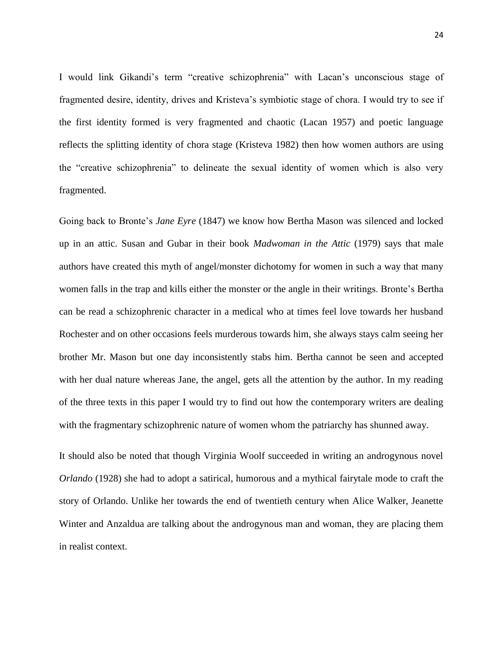I would link Gikandi"s term "creative schizophrenia" with Lacan"s unconscious stage of fragmented desire, identity, drives and Kristeva"s symbiotic stage of chora. I would try to see if the first identity formed is very fragmented and chaotic (Lacan 1957) and poetic language reflects the splitting identity of chora stage (Kristeva 1982) then how women authors are using the "creative schizophrenia" to delineate the sexual identity of women which is also very fragmented.

Going back to Bronte"s *Jane Eyre* (1847) we know how Bertha Mason was silenced and locked up in an attic. Susan and Gubar in their book *Madwoman in the Attic* (1979) says that male authors have created this myth of angel/monster dichotomy for women in such a way that many women falls in the trap and kills either the monster or the angle in their writings. Bronte"s Bertha can be read a schizophrenic character in a medical who at times feel love towards her husband Rochester and on other occasions feels murderous towards him, she always stays calm seeing her brother Mr. Mason but one day inconsistently stabs him. Bertha cannot be seen and accepted with her dual nature whereas Jane, the angel, gets all the attention by the author. In my reading of the three texts in this paper I would try to find out how the contemporary writers are dealing with the fragmentary schizophrenic nature of women whom the patriarchy has shunned away.

It should also be noted that though Virginia Woolf succeeded in writing an androgynous novel *Orlando* (1928) she had to adopt a satirical, humorous and a mythical fairytale mode to craft the story of Orlando. Unlike her towards the end of twentieth century when Alice Walker, Jeanette Winter and Anzaldua are talking about the androgynous man and woman, they are placing them in realist context.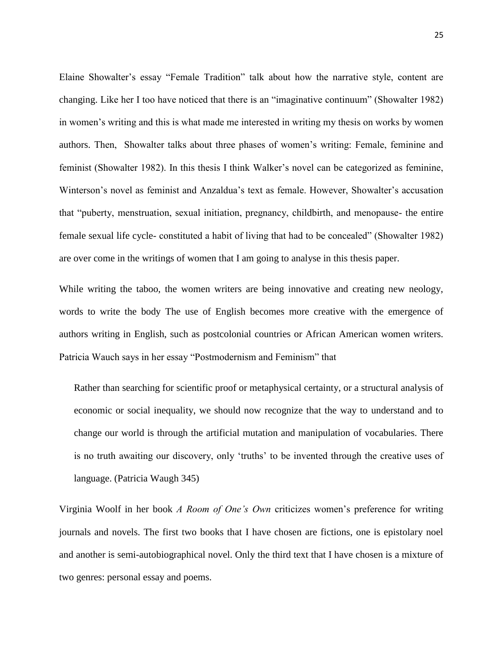Elaine Showalter's essay "Female Tradition" talk about how the narrative style, content are changing. Like her I too have noticed that there is an "imaginative continuum" (Showalter 1982) in women"s writing and this is what made me interested in writing my thesis on works by women authors. Then, Showalter talks about three phases of women"s writing: Female, feminine and feminist (Showalter 1982). In this thesis I think Walker"s novel can be categorized as feminine, Winterson"s novel as feminist and Anzaldua"s text as female. However, Showalter"s accusation that "puberty, menstruation, sexual initiation, pregnancy, childbirth, and menopause- the entire female sexual life cycle- constituted a habit of living that had to be concealed" (Showalter 1982) are over come in the writings of women that I am going to analyse in this thesis paper.

While writing the taboo, the women writers are being innovative and creating new neology, words to write the body The use of English becomes more creative with the emergence of authors writing in English, such as postcolonial countries or African American women writers. Patricia Wauch says in her essay "Postmodernism and Feminism" that

Rather than searching for scientific proof or metaphysical certainty, or a structural analysis of economic or social inequality, we should now recognize that the way to understand and to change our world is through the artificial mutation and manipulation of vocabularies. There is no truth awaiting our discovery, only "truths" to be invented through the creative uses of language. (Patricia Waugh 345)

Virginia Woolf in her book *A Room of One's Own* criticizes women"s preference for writing journals and novels. The first two books that I have chosen are fictions, one is epistolary noel and another is semi-autobiographical novel. Only the third text that I have chosen is a mixture of two genres: personal essay and poems.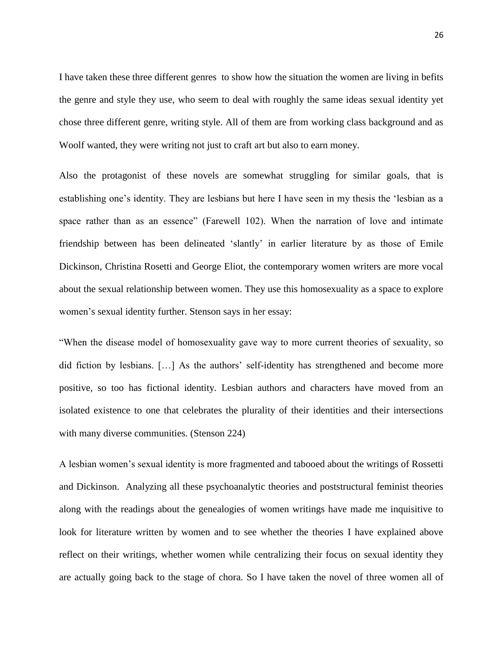I have taken these three different genres to show how the situation the women are living in befits the genre and style they use, who seem to deal with roughly the same ideas sexual identity yet chose three different genre, writing style. All of them are from working class background and as Woolf wanted, they were writing not just to craft art but also to earn money.

Also the protagonist of these novels are somewhat struggling for similar goals, that is establishing one's identity. They are lesbians but here I have seen in my thesis the 'lesbian as a space rather than as an essence" (Farewell 102). When the narration of love and intimate friendship between has been delineated "slantly" in earlier literature by as those of Emile Dickinson, Christina Rosetti and George Eliot, the contemporary women writers are more vocal about the sexual relationship between women. They use this homosexuality as a space to explore women"s sexual identity further. Stenson says in her essay:

"When the disease model of homosexuality gave way to more current theories of sexuality, so did fiction by lesbians. [...] As the authors' self-identity has strengthened and become more positive, so too has fictional identity. Lesbian authors and characters have moved from an isolated existence to one that celebrates the plurality of their identities and their intersections with many diverse communities. (Stenson 224)

A lesbian women"s sexual identity is more fragmented and tabooed about the writings of Rossetti and Dickinson. Analyzing all these psychoanalytic theories and poststructural feminist theories along with the readings about the genealogies of women writings have made me inquisitive to look for literature written by women and to see whether the theories I have explained above reflect on their writings, whether women while centralizing their focus on sexual identity they are actually going back to the stage of chora. So I have taken the novel of three women all of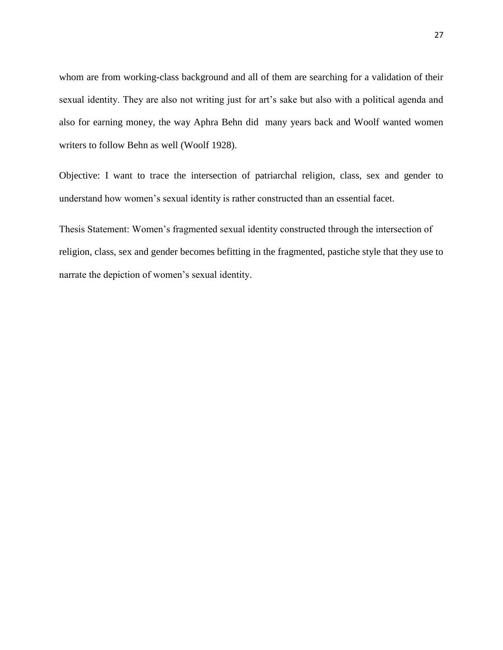whom are from working-class background and all of them are searching for a validation of their sexual identity. They are also not writing just for art's sake but also with a political agenda and also for earning money, the way Aphra Behn did many years back and Woolf wanted women writers to follow Behn as well (Woolf 1928).

Objective: I want to trace the intersection of patriarchal religion, class, sex and gender to understand how women"s sexual identity is rather constructed than an essential facet.

Thesis Statement: Women"s fragmented sexual identity constructed through the intersection of religion, class, sex and gender becomes befitting in the fragmented, pastiche style that they use to narrate the depiction of women's sexual identity.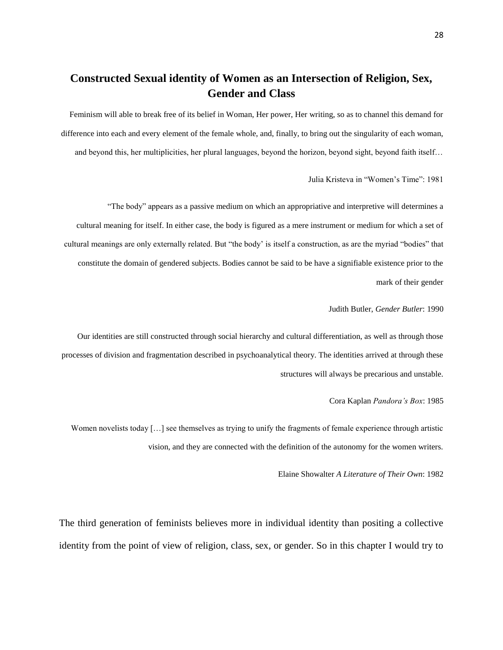## **Constructed Sexual identity of Women as an Intersection of Religion, Sex, Gender and Class**

Feminism will able to break free of its belief in Woman, Her power, Her writing, so as to channel this demand for difference into each and every element of the female whole, and, finally, to bring out the singularity of each woman, and beyond this, her multiplicities, her plural languages, beyond the horizon, beyond sight, beyond faith itself…

Julia Kristeva in "Women"s Time": 1981

"The body" appears as a passive medium on which an appropriative and interpretive will determines a cultural meaning for itself. In either case, the body is figured as a mere instrument or medium for which a set of cultural meanings are only externally related. But "the body" is itself a construction, as are the myriad "bodies" that constitute the domain of gendered subjects. Bodies cannot be said to be have a signifiable existence prior to the mark of their gender

#### Judith Butler, *Gender Butler*: 1990

Our identities are still constructed through social hierarchy and cultural differentiation, as well as through those processes of division and fragmentation described in psychoanalytical theory. The identities arrived at through these structures will always be precarious and unstable.

#### Cora Kaplan *Pandora's Box*: 1985

Women novelists today [...] see themselves as trying to unify the fragments of female experience through artistic vision, and they are connected with the definition of the autonomy for the women writers.

#### Elaine Showalter *A Literature of Their Own*: 1982

The third generation of feminists believes more in individual identity than positing a collective identity from the point of view of religion, class, sex, or gender. So in this chapter I would try to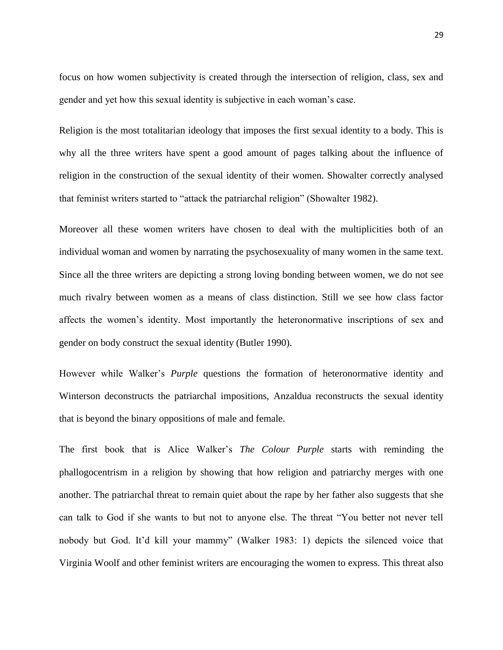focus on how women subjectivity is created through the intersection of religion, class, sex and gender and yet how this sexual identity is subjective in each woman"s case.

Religion is the most totalitarian ideology that imposes the first sexual identity to a body. This is why all the three writers have spent a good amount of pages talking about the influence of religion in the construction of the sexual identity of their women. Showalter correctly analysed that feminist writers started to "attack the patriarchal religion" (Showalter 1982).

Moreover all these women writers have chosen to deal with the multiplicities both of an individual woman and women by narrating the psychosexuality of many women in the same text. Since all the three writers are depicting a strong loving bonding between women, we do not see much rivalry between women as a means of class distinction. Still we see how class factor affects the women"s identity. Most importantly the heteronormative inscriptions of sex and gender on body construct the sexual identity (Butler 1990).

However while Walker"s *Purple* questions the formation of heteronormative identity and Winterson deconstructs the patriarchal impositions, Anzaldua reconstructs the sexual identity that is beyond the binary oppositions of male and female.

The first book that is Alice Walker"s *The Colour Purple* starts with reminding the phallogocentrism in a religion by showing that how religion and patriarchy merges with one another. The patriarchal threat to remain quiet about the rape by her father also suggests that she can talk to God if she wants to but not to anyone else. The threat "You better not never tell nobody but God. It"d kill your mammy" (Walker 1983: 1) depicts the silenced voice that Virginia Woolf and other feminist writers are encouraging the women to express. This threat also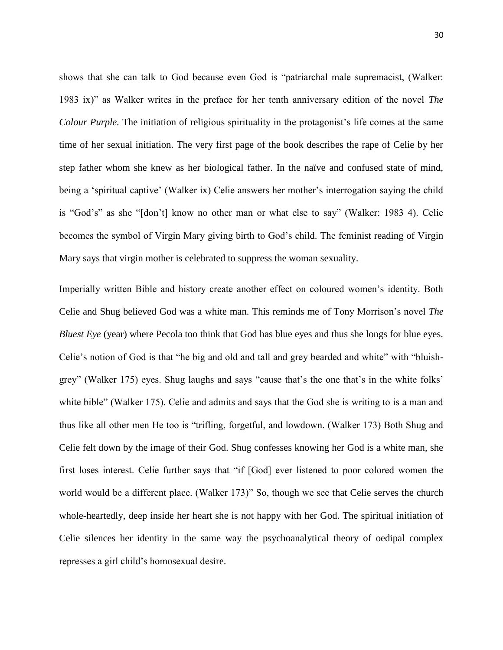shows that she can talk to God because even God is "patriarchal male supremacist, (Walker: 1983 ix)" as Walker writes in the preface for her tenth anniversary edition of the novel *The Colour Purple.* The initiation of religious spirituality in the protagonist's life comes at the same time of her sexual initiation. The very first page of the book describes the rape of Celie by her step father whom she knew as her biological father. In the naïve and confused state of mind, being a "spiritual captive" (Walker ix) Celie answers her mother"s interrogation saying the child is "God's" as she "[don't] know no other man or what else to say" (Walker: 1983 4). Celie becomes the symbol of Virgin Mary giving birth to God"s child. The feminist reading of Virgin Mary says that virgin mother is celebrated to suppress the woman sexuality.

Imperially written Bible and history create another effect on coloured women"s identity. Both Celie and Shug believed God was a white man. This reminds me of Tony Morrison"s novel *The Bluest Eye* (year) where Pecola too think that God has blue eyes and thus she longs for blue eyes. Celie"s notion of God is that "he big and old and tall and grey bearded and white" with "bluishgrey" (Walker 175) eyes. Shug laughs and says "cause that"s the one that"s in the white folks" white bible" (Walker 175). Celie and admits and says that the God she is writing to is a man and thus like all other men He too is "trifling, forgetful, and lowdown. (Walker 173) Both Shug and Celie felt down by the image of their God. Shug confesses knowing her God is a white man, she first loses interest. Celie further says that "if [God] ever listened to poor colored women the world would be a different place. (Walker 173)" So, though we see that Celie serves the church whole-heartedly, deep inside her heart she is not happy with her God. The spiritual initiation of Celie silences her identity in the same way the psychoanalytical theory of oedipal complex represses a girl child"s homosexual desire.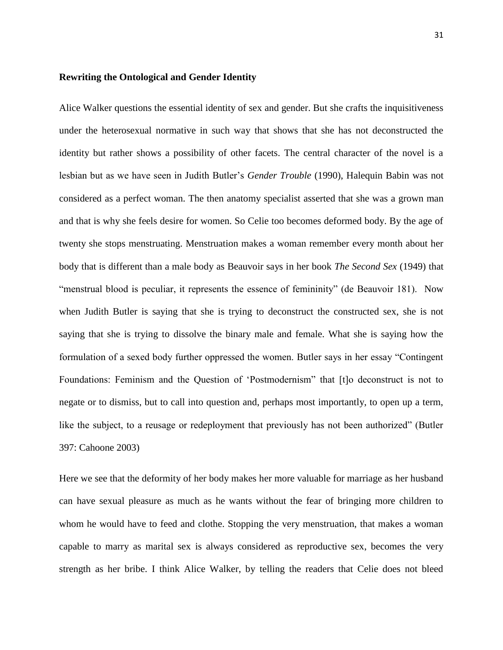#### **Rewriting the Ontological and Gender Identity**

Alice Walker questions the essential identity of sex and gender. But she crafts the inquisitiveness under the heterosexual normative in such way that shows that she has not deconstructed the identity but rather shows a possibility of other facets. The central character of the novel is a lesbian but as we have seen in Judith Butler"s *Gender Trouble* (1990), Halequin Babin was not considered as a perfect woman. The then anatomy specialist asserted that she was a grown man and that is why she feels desire for women. So Celie too becomes deformed body. By the age of twenty she stops menstruating. Menstruation makes a woman remember every month about her body that is different than a male body as Beauvoir says in her book *The Second Sex* (1949) that "menstrual blood is peculiar, it represents the essence of femininity" (de Beauvoir 181). Now when Judith Butler is saying that she is trying to deconstruct the constructed sex, she is not saying that she is trying to dissolve the binary male and female. What she is saying how the formulation of a sexed body further oppressed the women. Butler says in her essay "Contingent Foundations: Feminism and the Question of "Postmodernism" that [t]o deconstruct is not to negate or to dismiss, but to call into question and, perhaps most importantly, to open up a term, like the subject, to a reusage or redeployment that previously has not been authorized" (Butler 397: Cahoone 2003)

Here we see that the deformity of her body makes her more valuable for marriage as her husband can have sexual pleasure as much as he wants without the fear of bringing more children to whom he would have to feed and clothe. Stopping the very menstruation, that makes a woman capable to marry as marital sex is always considered as reproductive sex, becomes the very strength as her bribe. I think Alice Walker, by telling the readers that Celie does not bleed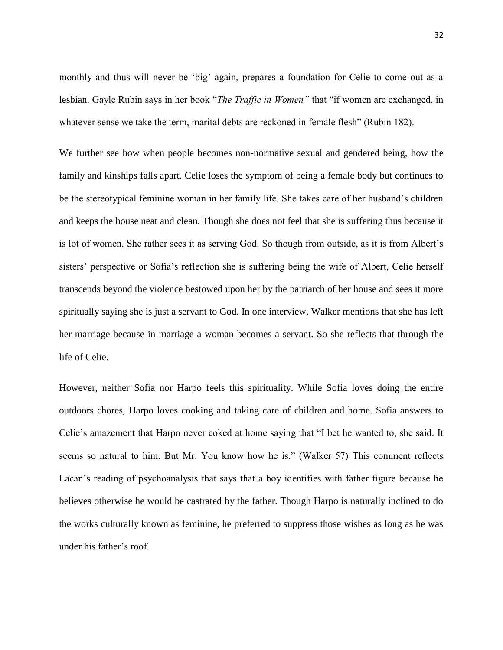monthly and thus will never be "big" again, prepares a foundation for Celie to come out as a lesbian. Gayle Rubin says in her book "*The Traffic in Women"* that "if women are exchanged, in whatever sense we take the term, marital debts are reckoned in female flesh" (Rubin 182).

We further see how when people becomes non-normative sexual and gendered being, how the family and kinships falls apart. Celie loses the symptom of being a female body but continues to be the stereotypical feminine woman in her family life. She takes care of her husband"s children and keeps the house neat and clean. Though she does not feel that she is suffering thus because it is lot of women. She rather sees it as serving God. So though from outside, as it is from Albert"s sisters' perspective or Sofia's reflection she is suffering being the wife of Albert, Celie herself transcends beyond the violence bestowed upon her by the patriarch of her house and sees it more spiritually saying she is just a servant to God. In one interview, Walker mentions that she has left her marriage because in marriage a woman becomes a servant. So she reflects that through the life of Celie.

However, neither Sofia nor Harpo feels this spirituality. While Sofia loves doing the entire outdoors chores, Harpo loves cooking and taking care of children and home. Sofia answers to Celie"s amazement that Harpo never coked at home saying that "I bet he wanted to, she said. It seems so natural to him. But Mr. You know how he is." (Walker 57) This comment reflects Lacan"s reading of psychoanalysis that says that a boy identifies with father figure because he believes otherwise he would be castrated by the father. Though Harpo is naturally inclined to do the works culturally known as feminine, he preferred to suppress those wishes as long as he was under his father"s roof.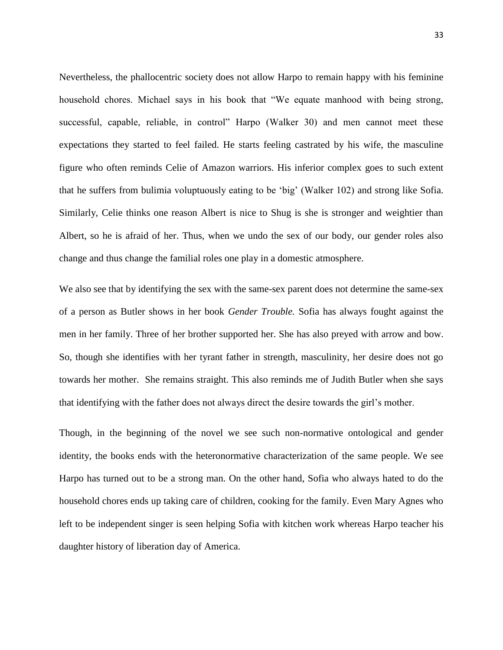Nevertheless, the phallocentric society does not allow Harpo to remain happy with his feminine household chores. Michael says in his book that "We equate manhood with being strong, successful, capable, reliable, in control" Harpo (Walker 30) and men cannot meet these expectations they started to feel failed. He starts feeling castrated by his wife, the masculine figure who often reminds Celie of Amazon warriors. His inferior complex goes to such extent that he suffers from bulimia voluptuously eating to be "big" (Walker 102) and strong like Sofia. Similarly, Celie thinks one reason Albert is nice to Shug is she is stronger and weightier than Albert, so he is afraid of her. Thus, when we undo the sex of our body, our gender roles also change and thus change the familial roles one play in a domestic atmosphere.

We also see that by identifying the sex with the same-sex parent does not determine the same-sex of a person as Butler shows in her book *Gender Trouble.* Sofia has always fought against the men in her family. Three of her brother supported her. She has also preyed with arrow and bow. So, though she identifies with her tyrant father in strength, masculinity, her desire does not go towards her mother. She remains straight. This also reminds me of Judith Butler when she says that identifying with the father does not always direct the desire towards the girl"s mother.

Though, in the beginning of the novel we see such non-normative ontological and gender identity, the books ends with the heteronormative characterization of the same people. We see Harpo has turned out to be a strong man. On the other hand, Sofia who always hated to do the household chores ends up taking care of children, cooking for the family. Even Mary Agnes who left to be independent singer is seen helping Sofia with kitchen work whereas Harpo teacher his daughter history of liberation day of America.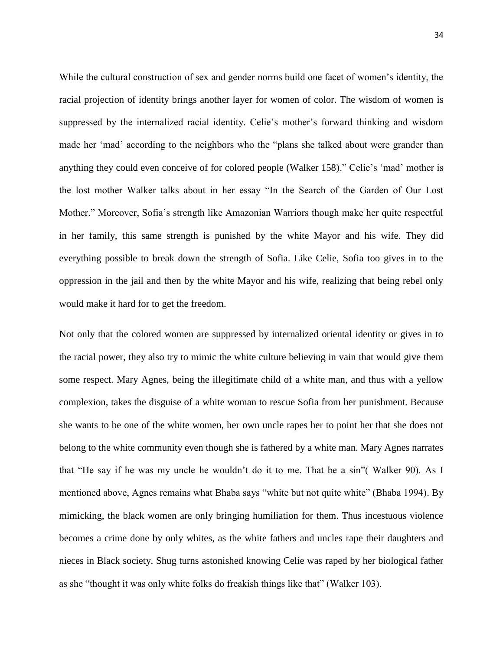While the cultural construction of sex and gender norms build one facet of women"s identity, the racial projection of identity brings another layer for women of color. The wisdom of women is suppressed by the internalized racial identity. Celie's mother's forward thinking and wisdom made her "mad" according to the neighbors who the "plans she talked about were grander than anything they could even conceive of for colored people (Walker 158)." Celie's 'mad' mother is the lost mother Walker talks about in her essay "In the Search of the Garden of Our Lost Mother." Moreover, Sofia"s strength like Amazonian Warriors though make her quite respectful in her family, this same strength is punished by the white Mayor and his wife. They did everything possible to break down the strength of Sofia. Like Celie, Sofia too gives in to the oppression in the jail and then by the white Mayor and his wife, realizing that being rebel only would make it hard for to get the freedom.

Not only that the colored women are suppressed by internalized oriental identity or gives in to the racial power, they also try to mimic the white culture believing in vain that would give them some respect. Mary Agnes, being the illegitimate child of a white man, and thus with a yellow complexion, takes the disguise of a white woman to rescue Sofia from her punishment. Because she wants to be one of the white women, her own uncle rapes her to point her that she does not belong to the white community even though she is fathered by a white man. Mary Agnes narrates that "He say if he was my uncle he wouldn"t do it to me. That be a sin"( Walker 90). As I mentioned above, Agnes remains what Bhaba says "white but not quite white" (Bhaba 1994). By mimicking, the black women are only bringing humiliation for them. Thus incestuous violence becomes a crime done by only whites, as the white fathers and uncles rape their daughters and nieces in Black society. Shug turns astonished knowing Celie was raped by her biological father as she "thought it was only white folks do freakish things like that" (Walker 103).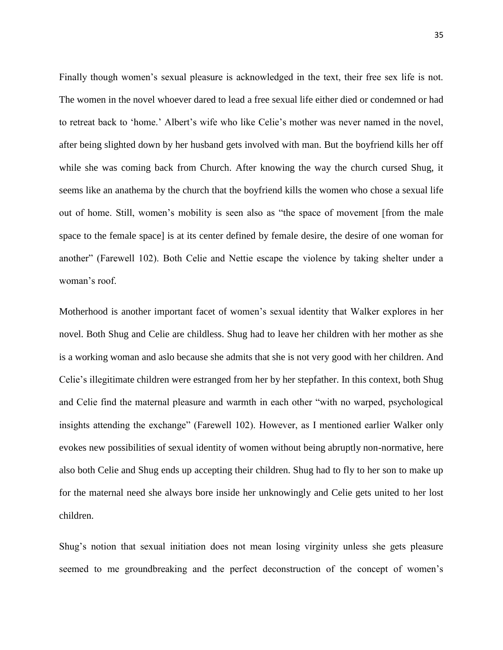Finally though women's sexual pleasure is acknowledged in the text, their free sex life is not. The women in the novel whoever dared to lead a free sexual life either died or condemned or had to retreat back to 'home.' Albert's wife who like Celie's mother was never named in the novel, after being slighted down by her husband gets involved with man. But the boyfriend kills her off while she was coming back from Church. After knowing the way the church cursed Shug, it seems like an anathema by the church that the boyfriend kills the women who chose a sexual life out of home. Still, women"s mobility is seen also as "the space of movement [from the male space to the female space] is at its center defined by female desire, the desire of one woman for another" (Farewell 102). Both Celie and Nettie escape the violence by taking shelter under a woman's roof.

Motherhood is another important facet of women"s sexual identity that Walker explores in her novel. Both Shug and Celie are childless. Shug had to leave her children with her mother as she is a working woman and aslo because she admits that she is not very good with her children. And Celie"s illegitimate children were estranged from her by her stepfather. In this context, both Shug and Celie find the maternal pleasure and warmth in each other "with no warped, psychological insights attending the exchange" (Farewell 102). However, as I mentioned earlier Walker only evokes new possibilities of sexual identity of women without being abruptly non-normative, here also both Celie and Shug ends up accepting their children. Shug had to fly to her son to make up for the maternal need she always bore inside her unknowingly and Celie gets united to her lost children.

Shug"s notion that sexual initiation does not mean losing virginity unless she gets pleasure seemed to me groundbreaking and the perfect deconstruction of the concept of women"s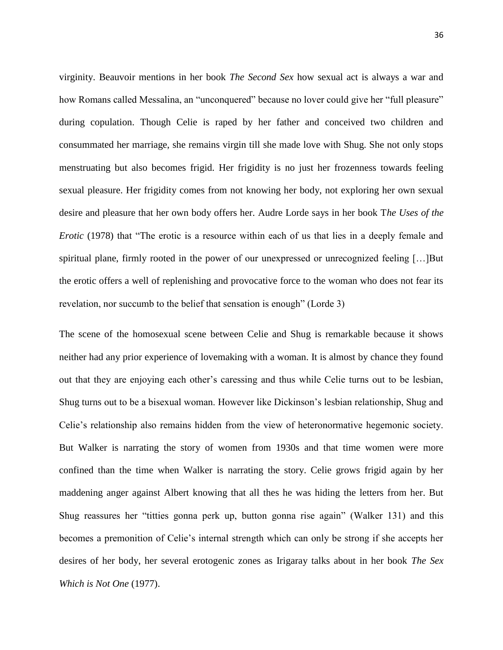virginity. Beauvoir mentions in her book *The Second Sex* how sexual act is always a war and how Romans called Messalina, an "unconquered" because no lover could give her "full pleasure" during copulation. Though Celie is raped by her father and conceived two children and consummated her marriage, she remains virgin till she made love with Shug. She not only stops menstruating but also becomes frigid. Her frigidity is no just her frozenness towards feeling sexual pleasure. Her frigidity comes from not knowing her body, not exploring her own sexual desire and pleasure that her own body offers her. Audre Lorde says in her book T*he Uses of the Erotic* (1978) that "The erotic is a resource within each of us that lies in a deeply female and spiritual plane, firmly rooted in the power of our unexpressed or unrecognized feeling […]But the erotic offers a well of replenishing and provocative force to the woman who does not fear its revelation, nor succumb to the belief that sensation is enough" (Lorde 3)

The scene of the homosexual scene between Celie and Shug is remarkable because it shows neither had any prior experience of lovemaking with a woman. It is almost by chance they found out that they are enjoying each other"s caressing and thus while Celie turns out to be lesbian, Shug turns out to be a bisexual woman. However like Dickinson"s lesbian relationship, Shug and Celie"s relationship also remains hidden from the view of heteronormative hegemonic society. But Walker is narrating the story of women from 1930s and that time women were more confined than the time when Walker is narrating the story. Celie grows frigid again by her maddening anger against Albert knowing that all thes he was hiding the letters from her. But Shug reassures her "titties gonna perk up, button gonna rise again" (Walker 131) and this becomes a premonition of Celie"s internal strength which can only be strong if she accepts her desires of her body, her several erotogenic zones as Irigaray talks about in her book *The Sex Which is Not One* (1977).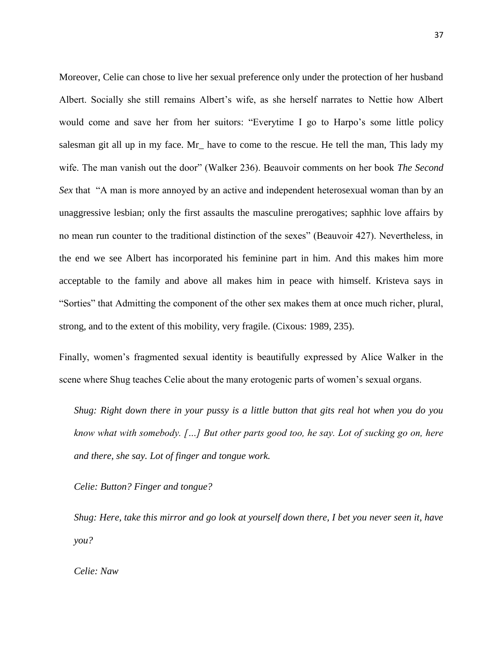Moreover, Celie can chose to live her sexual preference only under the protection of her husband Albert. Socially she still remains Albert"s wife, as she herself narrates to Nettie how Albert would come and save her from her suitors: "Everytime I go to Harpo's some little policy salesman git all up in my face. Mr have to come to the rescue. He tell the man, This lady my wife. The man vanish out the door" (Walker 236). Beauvoir comments on her book *The Second Sex* that "A man is more annoyed by an active and independent heterosexual woman than by an unaggressive lesbian; only the first assaults the masculine prerogatives; saphhic love affairs by no mean run counter to the traditional distinction of the sexes" (Beauvoir 427). Nevertheless, in the end we see Albert has incorporated his feminine part in him. And this makes him more acceptable to the family and above all makes him in peace with himself. Kristeva says in "Sorties" that Admitting the component of the other sex makes them at once much richer, plural, strong, and to the extent of this mobility, very fragile. (Cixous: 1989, 235).

Finally, women's fragmented sexual identity is beautifully expressed by Alice Walker in the scene where Shug teaches Celie about the many erotogenic parts of women"s sexual organs.

*Shug: Right down there in your pussy is a little button that gits real hot when you do you know what with somebody. […] But other parts good too, he say. Lot of sucking go on, here and there, she say. Lot of finger and tongue work.*

*Celie: Button? Finger and tongue?*

*Shug: Here, take this mirror and go look at yourself down there, I bet you never seen it, have you?*

*Celie: Naw*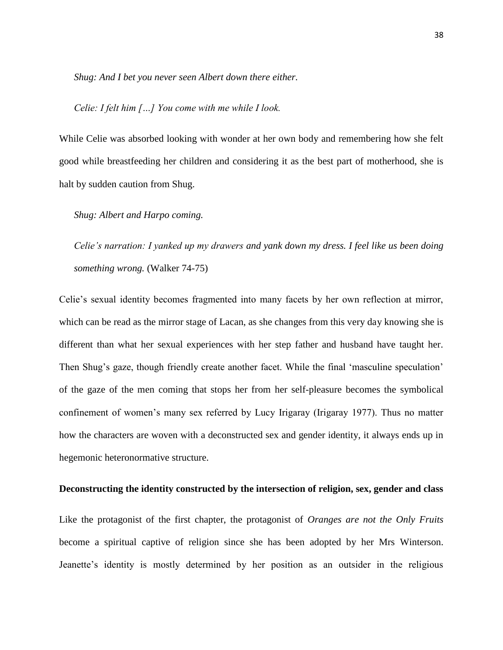*Shug: And I bet you never seen Albert down there either.*

*Celie: I felt him […] You come with me while I look.*

While Celie was absorbed looking with wonder at her own body and remembering how she felt good while breastfeeding her children and considering it as the best part of motherhood, she is halt by sudden caution from Shug.

*Shug: Albert and Harpo coming.*

*Celie's narration: I yanked up my drawers and yank down my dress. I feel like us been doing something wrong.* (Walker 74-75)

Celie"s sexual identity becomes fragmented into many facets by her own reflection at mirror, which can be read as the mirror stage of Lacan, as she changes from this very day knowing she is different than what her sexual experiences with her step father and husband have taught her. Then Shug's gaze, though friendly create another facet. While the final 'masculine speculation' of the gaze of the men coming that stops her from her self-pleasure becomes the symbolical confinement of women"s many sex referred by Lucy Irigaray (Irigaray 1977). Thus no matter how the characters are woven with a deconstructed sex and gender identity, it always ends up in hegemonic heteronormative structure.

# **Deconstructing the identity constructed by the intersection of religion, sex, gender and class**

Like the protagonist of the first chapter, the protagonist of *Oranges are not the Only Fruits*  become a spiritual captive of religion since she has been adopted by her Mrs Winterson. Jeanette's identity is mostly determined by her position as an outsider in the religious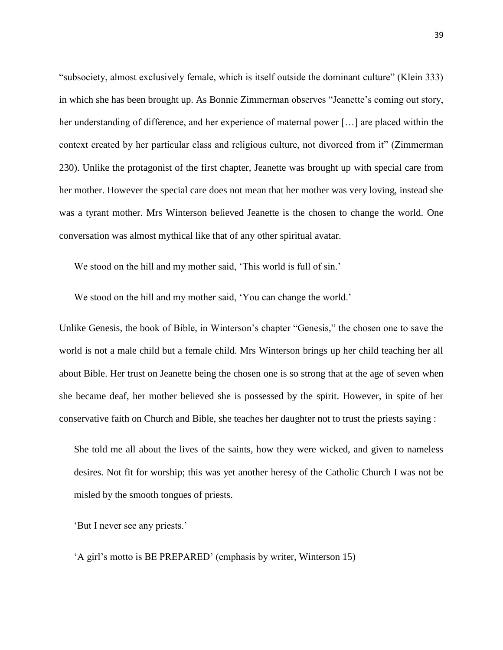"subsociety, almost exclusively female, which is itself outside the dominant culture" (Klein 333) in which she has been brought up. As Bonnie Zimmerman observes "Jeanette"s coming out story, her understanding of difference, and her experience of maternal power […] are placed within the context created by her particular class and religious culture, not divorced from it" (Zimmerman 230). Unlike the protagonist of the first chapter, Jeanette was brought up with special care from her mother. However the special care does not mean that her mother was very loving, instead she was a tyrant mother. Mrs Winterson believed Jeanette is the chosen to change the world. One conversation was almost mythical like that of any other spiritual avatar.

We stood on the hill and my mother said, 'This world is full of sin.'

We stood on the hill and my mother said, 'You can change the world.'

Unlike Genesis, the book of Bible, in Winterson"s chapter "Genesis," the chosen one to save the world is not a male child but a female child. Mrs Winterson brings up her child teaching her all about Bible. Her trust on Jeanette being the chosen one is so strong that at the age of seven when she became deaf, her mother believed she is possessed by the spirit. However, in spite of her conservative faith on Church and Bible, she teaches her daughter not to trust the priests saying :

She told me all about the lives of the saints, how they were wicked, and given to nameless desires. Not fit for worship; this was yet another heresy of the Catholic Church I was not be misled by the smooth tongues of priests.

'But I never see any priests.'

"A girl"s motto is BE PREPARED" (emphasis by writer, Winterson 15)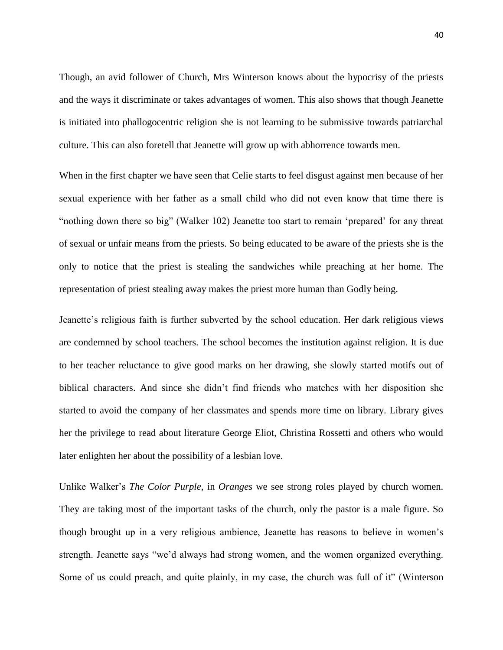Though, an avid follower of Church, Mrs Winterson knows about the hypocrisy of the priests and the ways it discriminate or takes advantages of women. This also shows that though Jeanette is initiated into phallogocentric religion she is not learning to be submissive towards patriarchal culture. This can also foretell that Jeanette will grow up with abhorrence towards men.

When in the first chapter we have seen that Celie starts to feel disgust against men because of her sexual experience with her father as a small child who did not even know that time there is "nothing down there so big" (Walker 102) Jeanette too start to remain "prepared" for any threat of sexual or unfair means from the priests. So being educated to be aware of the priests she is the only to notice that the priest is stealing the sandwiches while preaching at her home. The representation of priest stealing away makes the priest more human than Godly being.

Jeanette's religious faith is further subverted by the school education. Her dark religious views are condemned by school teachers. The school becomes the institution against religion. It is due to her teacher reluctance to give good marks on her drawing, she slowly started motifs out of biblical characters. And since she didn"t find friends who matches with her disposition she started to avoid the company of her classmates and spends more time on library. Library gives her the privilege to read about literature George Eliot, Christina Rossetti and others who would later enlighten her about the possibility of a lesbian love.

Unlike Walker"s *The Color Purple*, in *Oranges* we see strong roles played by church women. They are taking most of the important tasks of the church, only the pastor is a male figure. So though brought up in a very religious ambience, Jeanette has reasons to believe in women"s strength. Jeanette says "we"d always had strong women, and the women organized everything. Some of us could preach, and quite plainly, in my case, the church was full of it" (Winterson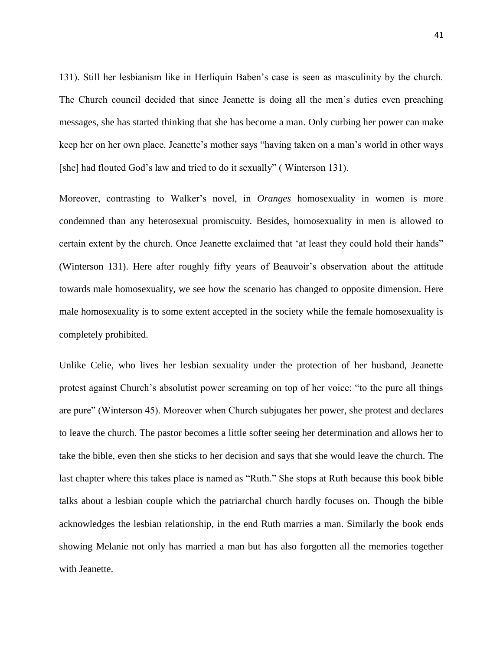131). Still her lesbianism like in Herliquin Baben"s case is seen as masculinity by the church. The Church council decided that since Jeanette is doing all the men"s duties even preaching messages, she has started thinking that she has become a man. Only curbing her power can make keep her on her own place. Jeanette"s mother says "having taken on a man"s world in other ways [she] had flouted God"s law and tried to do it sexually" ( Winterson 131).

Moreover, contrasting to Walker"s novel, in *Oranges* homosexuality in women is more condemned than any heterosexual promiscuity. Besides, homosexuality in men is allowed to certain extent by the church. Once Jeanette exclaimed that "at least they could hold their hands" (Winterson 131). Here after roughly fifty years of Beauvoir"s observation about the attitude towards male homosexuality, we see how the scenario has changed to opposite dimension. Here male homosexuality is to some extent accepted in the society while the female homosexuality is completely prohibited.

Unlike Celie, who lives her lesbian sexuality under the protection of her husband, Jeanette protest against Church"s absolutist power screaming on top of her voice: "to the pure all things are pure" (Winterson 45). Moreover when Church subjugates her power, she protest and declares to leave the church. The pastor becomes a little softer seeing her determination and allows her to take the bible, even then she sticks to her decision and says that she would leave the church. The last chapter where this takes place is named as "Ruth." She stops at Ruth because this book bible talks about a lesbian couple which the patriarchal church hardly focuses on. Though the bible acknowledges the lesbian relationship, in the end Ruth marries a man. Similarly the book ends showing Melanie not only has married a man but has also forgotten all the memories together with Jeanette.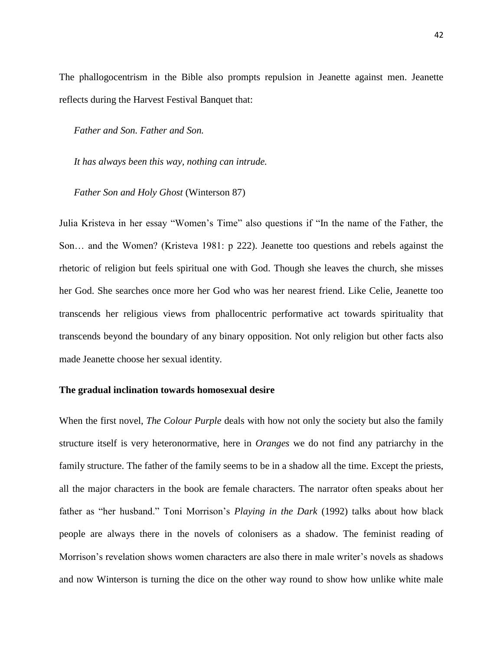The phallogocentrism in the Bible also prompts repulsion in Jeanette against men. Jeanette reflects during the Harvest Festival Banquet that:

*Father and Son. Father and Son.*

*It has always been this way, nothing can intrude.*

*Father Son and Holy Ghost* (Winterson 87)

Julia Kristeva in her essay "Women"s Time" also questions if "In the name of the Father, the Son… and the Women? (Kristeva 1981: p 222). Jeanette too questions and rebels against the rhetoric of religion but feels spiritual one with God. Though she leaves the church, she misses her God. She searches once more her God who was her nearest friend. Like Celie, Jeanette too transcends her religious views from phallocentric performative act towards spirituality that transcends beyond the boundary of any binary opposition. Not only religion but other facts also made Jeanette choose her sexual identity.

# **The gradual inclination towards homosexual desire**

When the first novel, *The Colour Purple* deals with how not only the society but also the family structure itself is very heteronormative, here in *Oranges* we do not find any patriarchy in the family structure. The father of the family seems to be in a shadow all the time. Except the priests, all the major characters in the book are female characters. The narrator often speaks about her father as "her husband." Toni Morrison's *Playing in the Dark* (1992) talks about how black people are always there in the novels of colonisers as a shadow. The feminist reading of Morrison"s revelation shows women characters are also there in male writer"s novels as shadows and now Winterson is turning the dice on the other way round to show how unlike white male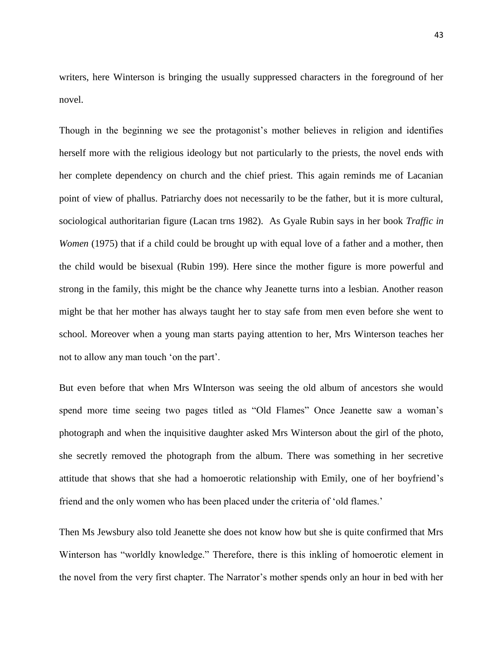writers, here Winterson is bringing the usually suppressed characters in the foreground of her novel.

Though in the beginning we see the protagonist's mother believes in religion and identifies herself more with the religious ideology but not particularly to the priests, the novel ends with her complete dependency on church and the chief priest. This again reminds me of Lacanian point of view of phallus. Patriarchy does not necessarily to be the father, but it is more cultural, sociological authoritarian figure (Lacan trns 1982). As Gyale Rubin says in her book *Traffic in Women* (1975) that if a child could be brought up with equal love of a father and a mother, then the child would be bisexual (Rubin 199). Here since the mother figure is more powerful and strong in the family, this might be the chance why Jeanette turns into a lesbian. Another reason might be that her mother has always taught her to stay safe from men even before she went to school. Moreover when a young man starts paying attention to her, Mrs Winterson teaches her not to allow any man touch "on the part".

But even before that when Mrs WInterson was seeing the old album of ancestors she would spend more time seeing two pages titled as "Old Flames" Once Jeanette saw a woman"s photograph and when the inquisitive daughter asked Mrs Winterson about the girl of the photo, she secretly removed the photograph from the album. There was something in her secretive attitude that shows that she had a homoerotic relationship with Emily, one of her boyfriend"s friend and the only women who has been placed under the criteria of 'old flames.'

Then Ms Jewsbury also told Jeanette she does not know how but she is quite confirmed that Mrs Winterson has "worldly knowledge." Therefore, there is this inkling of homoerotic element in the novel from the very first chapter. The Narrator"s mother spends only an hour in bed with her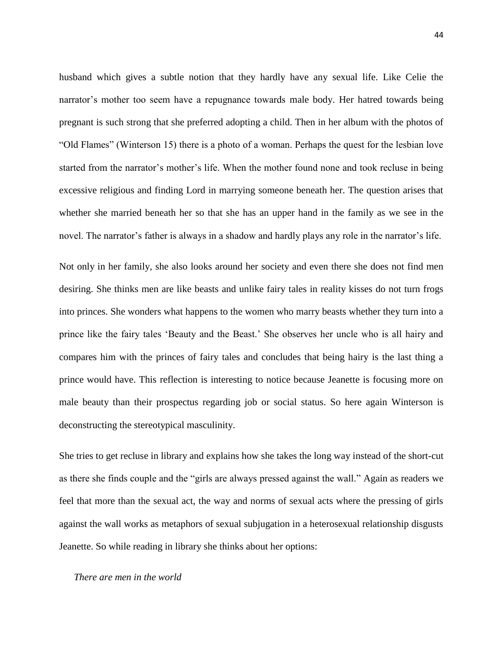husband which gives a subtle notion that they hardly have any sexual life. Like Celie the narrator"s mother too seem have a repugnance towards male body. Her hatred towards being pregnant is such strong that she preferred adopting a child. Then in her album with the photos of "Old Flames" (Winterson 15) there is a photo of a woman. Perhaps the quest for the lesbian love started from the narrator's mother's life. When the mother found none and took recluse in being excessive religious and finding Lord in marrying someone beneath her. The question arises that whether she married beneath her so that she has an upper hand in the family as we see in the novel. The narrator's father is always in a shadow and hardly plays any role in the narrator's life.

Not only in her family, she also looks around her society and even there she does not find men desiring. She thinks men are like beasts and unlike fairy tales in reality kisses do not turn frogs into princes. She wonders what happens to the women who marry beasts whether they turn into a prince like the fairy tales "Beauty and the Beast." She observes her uncle who is all hairy and compares him with the princes of fairy tales and concludes that being hairy is the last thing a prince would have. This reflection is interesting to notice because Jeanette is focusing more on male beauty than their prospectus regarding job or social status. So here again Winterson is deconstructing the stereotypical masculinity.

She tries to get recluse in library and explains how she takes the long way instead of the short-cut as there she finds couple and the "girls are always pressed against the wall." Again as readers we feel that more than the sexual act, the way and norms of sexual acts where the pressing of girls against the wall works as metaphors of sexual subjugation in a heterosexual relationship disgusts Jeanette. So while reading in library she thinks about her options:

### *There are men in the world*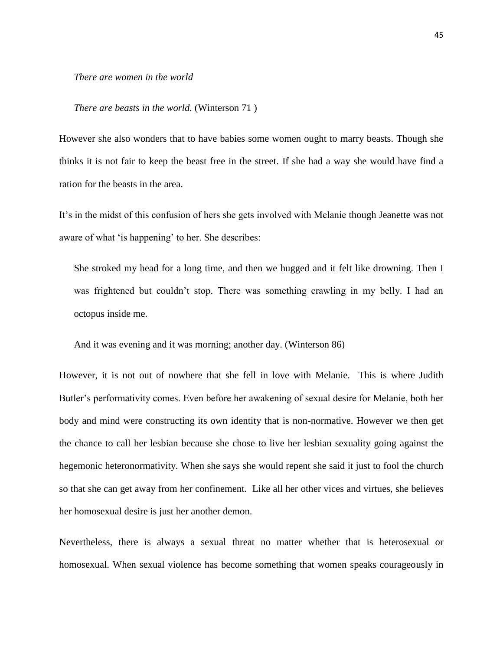### *There are women in the world*

#### *There are beasts in the world.* (Winterson 71 )

However she also wonders that to have babies some women ought to marry beasts. Though she thinks it is not fair to keep the beast free in the street. If she had a way she would have find a ration for the beasts in the area.

It's in the midst of this confusion of hers she gets involved with Melanie though Jeanette was not aware of what 'is happening' to her. She describes:

She stroked my head for a long time, and then we hugged and it felt like drowning. Then I was frightened but couldn"t stop. There was something crawling in my belly. I had an octopus inside me.

And it was evening and it was morning; another day. (Winterson 86)

However, it is not out of nowhere that she fell in love with Melanie. This is where Judith Butler"s performativity comes. Even before her awakening of sexual desire for Melanie, both her body and mind were constructing its own identity that is non-normative. However we then get the chance to call her lesbian because she chose to live her lesbian sexuality going against the hegemonic heteronormativity. When she says she would repent she said it just to fool the church so that she can get away from her confinement. Like all her other vices and virtues, she believes her homosexual desire is just her another demon.

Nevertheless, there is always a sexual threat no matter whether that is heterosexual or homosexual. When sexual violence has become something that women speaks courageously in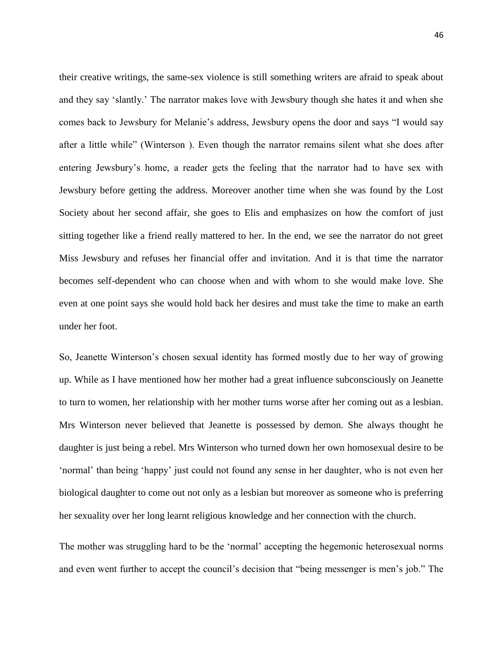their creative writings, the same-sex violence is still something writers are afraid to speak about and they say "slantly." The narrator makes love with Jewsbury though she hates it and when she comes back to Jewsbury for Melanie's address, Jewsbury opens the door and says "I would say after a little while" (Winterson ). Even though the narrator remains silent what she does after entering Jewsbury"s home, a reader gets the feeling that the narrator had to have sex with Jewsbury before getting the address. Moreover another time when she was found by the Lost Society about her second affair, she goes to Elis and emphasizes on how the comfort of just sitting together like a friend really mattered to her. In the end, we see the narrator do not greet Miss Jewsbury and refuses her financial offer and invitation. And it is that time the narrator becomes self-dependent who can choose when and with whom to she would make love. She even at one point says she would hold back her desires and must take the time to make an earth under her foot.

So, Jeanette Winterson"s chosen sexual identity has formed mostly due to her way of growing up. While as I have mentioned how her mother had a great influence subconsciously on Jeanette to turn to women, her relationship with her mother turns worse after her coming out as a lesbian. Mrs Winterson never believed that Jeanette is possessed by demon. She always thought he daughter is just being a rebel. Mrs Winterson who turned down her own homosexual desire to be "normal" than being "happy" just could not found any sense in her daughter, who is not even her biological daughter to come out not only as a lesbian but moreover as someone who is preferring her sexuality over her long learnt religious knowledge and her connection with the church.

The mother was struggling hard to be the "normal" accepting the hegemonic heterosexual norms and even went further to accept the council's decision that "being messenger is men's job." The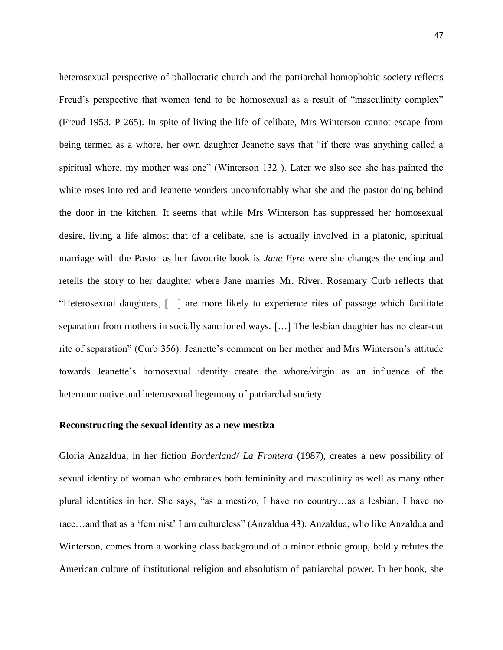heterosexual perspective of phallocratic church and the patriarchal homophobic society reflects Freud's perspective that women tend to be homosexual as a result of "masculinity complex" (Freud 1953. P 265). In spite of living the life of celibate, Mrs Winterson cannot escape from being termed as a whore, her own daughter Jeanette says that "if there was anything called a spiritual whore, my mother was one" (Winterson 132 ). Later we also see she has painted the white roses into red and Jeanette wonders uncomfortably what she and the pastor doing behind the door in the kitchen. It seems that while Mrs Winterson has suppressed her homosexual desire, living a life almost that of a celibate, she is actually involved in a platonic, spiritual marriage with the Pastor as her favourite book is *Jane Eyre* were she changes the ending and retells the story to her daughter where Jane marries Mr. River. Rosemary Curb reflects that "Heterosexual daughters, […] are more likely to experience rites of passage which facilitate separation from mothers in socially sanctioned ways. […] The lesbian daughter has no clear-cut rite of separation" (Curb 356). Jeanette's comment on her mother and Mrs Winterson's attitude towards Jeanette"s homosexual identity create the whore/virgin as an influence of the heteronormative and heterosexual hegemony of patriarchal society.

#### **Reconstructing the sexual identity as a new mestiza**

Gloria Anzaldua, in her fiction *Borderland/ La Frontera* (1987), creates a new possibility of sexual identity of woman who embraces both femininity and masculinity as well as many other plural identities in her. She says, "as a mestizo, I have no country…as a lesbian, I have no race…and that as a "feminist" I am cultureless" (Anzaldua 43). Anzaldua, who like Anzaldua and Winterson, comes from a working class background of a minor ethnic group, boldly refutes the American culture of institutional religion and absolutism of patriarchal power. In her book, she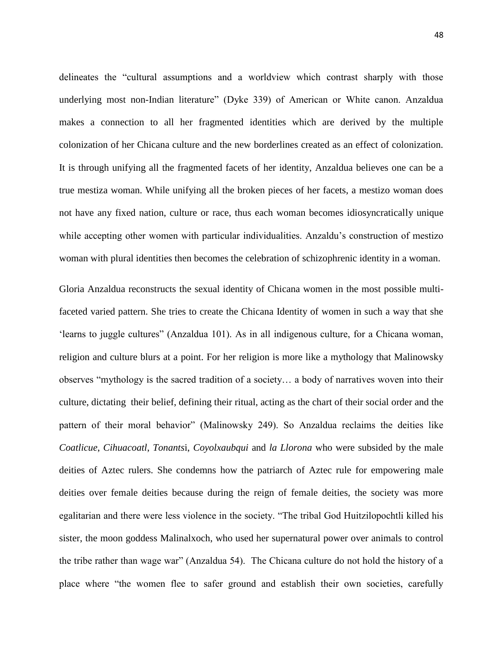delineates the "cultural assumptions and a worldview which contrast sharply with those underlying most non-Indian literature" (Dyke 339) of American or White canon. Anzaldua makes a connection to all her fragmented identities which are derived by the multiple colonization of her Chicana culture and the new borderlines created as an effect of colonization. It is through unifying all the fragmented facets of her identity, Anzaldua believes one can be a true mestiza woman. While unifying all the broken pieces of her facets, a mestizo woman does not have any fixed nation, culture or race, thus each woman becomes idiosyncratically unique while accepting other women with particular individualities. Anzaldu's construction of mestizo woman with plural identities then becomes the celebration of schizophrenic identity in a woman.

Gloria Anzaldua reconstructs the sexual identity of Chicana women in the most possible multifaceted varied pattern. She tries to create the Chicana Identity of women in such a way that she "learns to juggle cultures" (Anzaldua 101). As in all indigenous culture, for a Chicana woman, religion and culture blurs at a point. For her religion is more like a mythology that Malinowsky observes "mythology is the sacred tradition of a society… a body of narratives woven into their culture, dictating their belief, defining their ritual, acting as the chart of their social order and the pattern of their moral behavior" (Malinowsky 249). So Anzaldua reclaims the deities like *Coatlicue*, *Cihuacoatl*, *Tonants*i, *Coyolxaubqui* and *la Llorona* who were subsided by the male deities of Aztec rulers. She condemns how the patriarch of Aztec rule for empowering male deities over female deities because during the reign of female deities, the society was more egalitarian and there were less violence in the society. "The tribal God Huitzilopochtli killed his sister, the moon goddess Malinalxoch, who used her supernatural power over animals to control the tribe rather than wage war" (Anzaldua 54). The Chicana culture do not hold the history of a place where "the women flee to safer ground and establish their own societies, carefully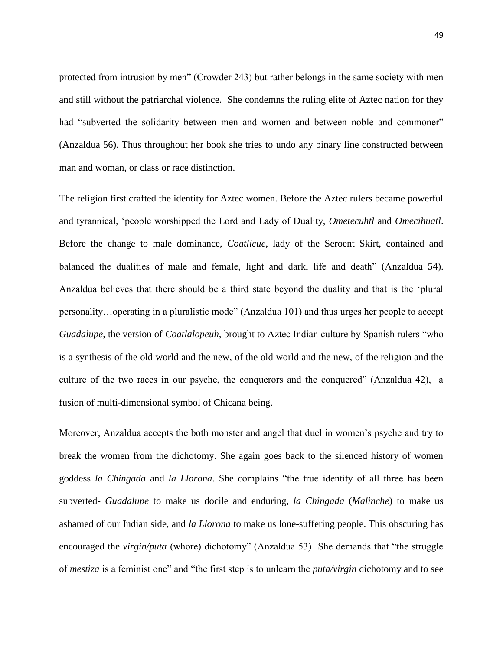protected from intrusion by men" (Crowder 243) but rather belongs in the same society with men and still without the patriarchal violence. She condemns the ruling elite of Aztec nation for they had "subverted the solidarity between men and women and between noble and commoner" (Anzaldua 56). Thus throughout her book she tries to undo any binary line constructed between man and woman, or class or race distinction.

The religion first crafted the identity for Aztec women. Before the Aztec rulers became powerful and tyrannical, "people worshipped the Lord and Lady of Duality, *Ometecuhtl* and *Omecihuatl*. Before the change to male dominance, *Coatlicue*, lady of the Seroent Skirt, contained and balanced the dualities of male and female, light and dark, life and death" (Anzaldua 54). Anzaldua believes that there should be a third state beyond the duality and that is the "plural personality…operating in a pluralistic mode" (Anzaldua 101) and thus urges her people to accept *Guadalupe*, the version of *Coatlalopeuh*, brought to Aztec Indian culture by Spanish rulers "who is a synthesis of the old world and the new, of the old world and the new, of the religion and the culture of the two races in our psyche, the conquerors and the conquered" (Anzaldua 42), a fusion of multi-dimensional symbol of Chicana being.

Moreover, Anzaldua accepts the both monster and angel that duel in women"s psyche and try to break the women from the dichotomy. She again goes back to the silenced history of women goddess *la Chingada* and *la Llorona*. She complains "the true identity of all three has been subverted- *Guadalupe* to make us docile and enduring, *la Chingada* (*Malinche*) to make us ashamed of our Indian side, and *la Llorona* to make us lone-suffering people. This obscuring has encouraged the *virgin/puta* (whore) dichotomy" (Anzaldua 53) She demands that "the struggle of *mestiza* is a feminist one" and "the first step is to unlearn the *puta/virgin* dichotomy and to see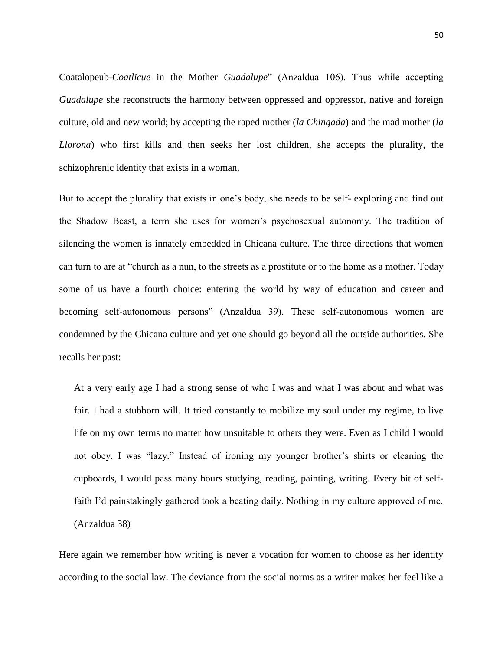Coatalopeub-*Coatlicue* in the Mother *Guadalupe*" (Anzaldua 106). Thus while accepting *Guadalupe* she reconstructs the harmony between oppressed and oppressor, native and foreign culture, old and new world; by accepting the raped mother (*la Chingada*) and the mad mother (*la Llorona*) who first kills and then seeks her lost children, she accepts the plurality, the schizophrenic identity that exists in a woman.

But to accept the plurality that exists in one"s body, she needs to be self- exploring and find out the Shadow Beast, a term she uses for women"s psychosexual autonomy. The tradition of silencing the women is innately embedded in Chicana culture. The three directions that women can turn to are at "church as a nun, to the streets as a prostitute or to the home as a mother. Today some of us have a fourth choice: entering the world by way of education and career and becoming self-autonomous persons" (Anzaldua 39). These self-autonomous women are condemned by the Chicana culture and yet one should go beyond all the outside authorities. She recalls her past:

At a very early age I had a strong sense of who I was and what I was about and what was fair. I had a stubborn will. It tried constantly to mobilize my soul under my regime, to live life on my own terms no matter how unsuitable to others they were. Even as I child I would not obey. I was "lazy." Instead of ironing my younger brother's shirts or cleaning the cupboards, I would pass many hours studying, reading, painting, writing. Every bit of selffaith I"d painstakingly gathered took a beating daily. Nothing in my culture approved of me. (Anzaldua 38)

Here again we remember how writing is never a vocation for women to choose as her identity according to the social law. The deviance from the social norms as a writer makes her feel like a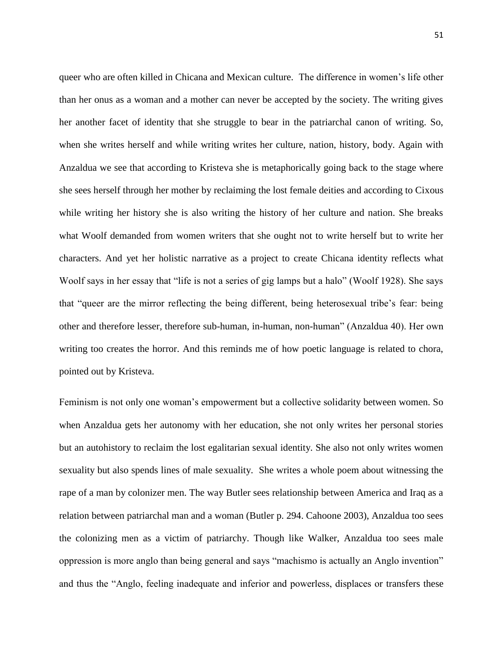queer who are often killed in Chicana and Mexican culture. The difference in women"s life other than her onus as a woman and a mother can never be accepted by the society. The writing gives her another facet of identity that she struggle to bear in the patriarchal canon of writing. So, when she writes herself and while writing writes her culture, nation, history, body. Again with Anzaldua we see that according to Kristeva she is metaphorically going back to the stage where she sees herself through her mother by reclaiming the lost female deities and according to Cixous while writing her history she is also writing the history of her culture and nation. She breaks what Woolf demanded from women writers that she ought not to write herself but to write her characters. And yet her holistic narrative as a project to create Chicana identity reflects what Woolf says in her essay that "life is not a series of gig lamps but a halo" (Woolf 1928). She says that "queer are the mirror reflecting the being different, being heterosexual tribe"s fear: being other and therefore lesser, therefore sub-human, in-human, non-human" (Anzaldua 40). Her own writing too creates the horror. And this reminds me of how poetic language is related to chora, pointed out by Kristeva.

Feminism is not only one woman"s empowerment but a collective solidarity between women. So when Anzaldua gets her autonomy with her education, she not only writes her personal stories but an autohistory to reclaim the lost egalitarian sexual identity. She also not only writes women sexuality but also spends lines of male sexuality. She writes a whole poem about witnessing the rape of a man by colonizer men. The way Butler sees relationship between America and Iraq as a relation between patriarchal man and a woman (Butler p. 294. Cahoone 2003), Anzaldua too sees the colonizing men as a victim of patriarchy. Though like Walker, Anzaldua too sees male oppression is more anglo than being general and says "machismo is actually an Anglo invention" and thus the "Anglo, feeling inadequate and inferior and powerless, displaces or transfers these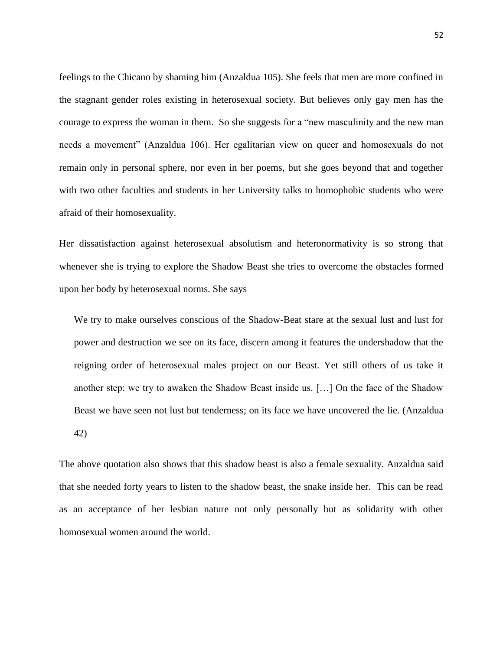feelings to the Chicano by shaming him (Anzaldua 105). She feels that men are more confined in the stagnant gender roles existing in heterosexual society. But believes only gay men has the courage to express the woman in them. So she suggests for a "new masculinity and the new man needs a movement" (Anzaldua 106). Her egalitarian view on queer and homosexuals do not remain only in personal sphere, nor even in her poems, but she goes beyond that and together with two other faculties and students in her University talks to homophobic students who were afraid of their homosexuality.

Her dissatisfaction against heterosexual absolutism and heteronormativity is so strong that whenever she is trying to explore the Shadow Beast she tries to overcome the obstacles formed upon her body by heterosexual norms. She says

We try to make ourselves conscious of the Shadow-Beat stare at the sexual lust and lust for power and destruction we see on its face, discern among it features the undershadow that the reigning order of heterosexual males project on our Beast. Yet still others of us take it another step: we try to awaken the Shadow Beast inside us. […] On the face of the Shadow Beast we have seen not lust but tenderness; on its face we have uncovered the lie. (Anzaldua 42)

The above quotation also shows that this shadow beast is also a female sexuality. Anzaldua said that she needed forty years to listen to the shadow beast, the snake inside her. This can be read as an acceptance of her lesbian nature not only personally but as solidarity with other homosexual women around the world.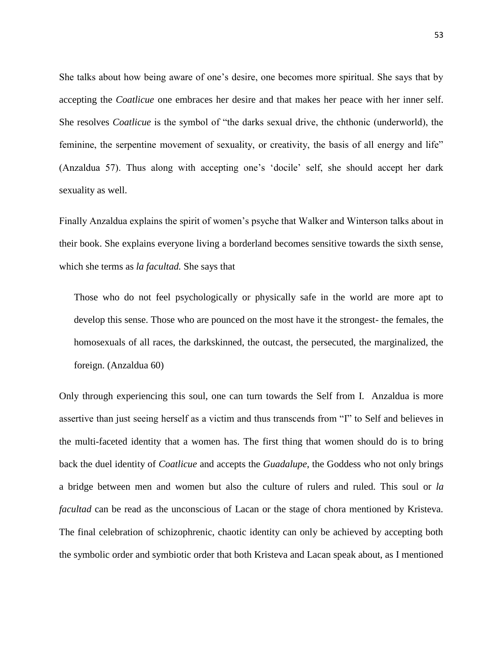She talks about how being aware of one"s desire, one becomes more spiritual. She says that by accepting the *Coatlicue* one embraces her desire and that makes her peace with her inner self. She resolves *Coatlicue* is the symbol of "the darks sexual drive, the chthonic (underworld), the feminine, the serpentine movement of sexuality, or creativity, the basis of all energy and life" (Anzaldua 57). Thus along with accepting one"s "docile" self, she should accept her dark sexuality as well.

Finally Anzaldua explains the spirit of women"s psyche that Walker and Winterson talks about in their book. She explains everyone living a borderland becomes sensitive towards the sixth sense, which she terms as *la facultad.* She says that

Those who do not feel psychologically or physically safe in the world are more apt to develop this sense. Those who are pounced on the most have it the strongest- the females, the homosexuals of all races, the darkskinned, the outcast, the persecuted, the marginalized, the foreign. (Anzaldua 60)

Only through experiencing this soul, one can turn towards the Self from I. Anzaldua is more assertive than just seeing herself as a victim and thus transcends from "I" to Self and believes in the multi-faceted identity that a women has. The first thing that women should do is to bring back the duel identity of *Coatlicue* and accepts the *Guadalupe*, the Goddess who not only brings a bridge between men and women but also the culture of rulers and ruled. This soul or *la facultad* can be read as the unconscious of Lacan or the stage of chora mentioned by Kristeva. The final celebration of schizophrenic, chaotic identity can only be achieved by accepting both the symbolic order and symbiotic order that both Kristeva and Lacan speak about, as I mentioned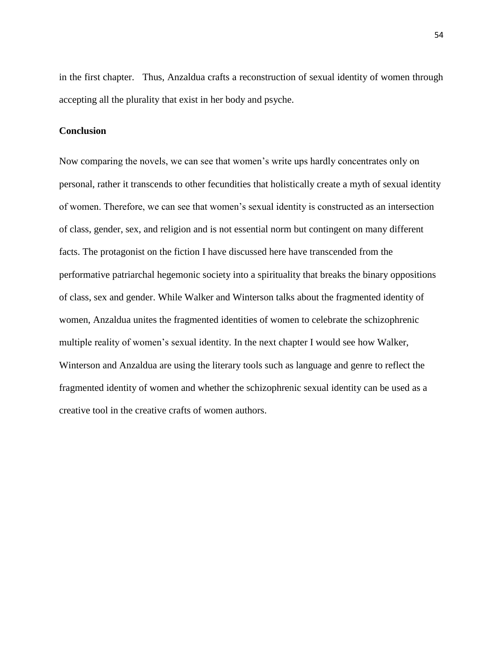in the first chapter. Thus, Anzaldua crafts a reconstruction of sexual identity of women through accepting all the plurality that exist in her body and psyche.

# **Conclusion**

Now comparing the novels, we can see that women"s write ups hardly concentrates only on personal, rather it transcends to other fecundities that holistically create a myth of sexual identity of women. Therefore, we can see that women"s sexual identity is constructed as an intersection of class, gender, sex, and religion and is not essential norm but contingent on many different facts. The protagonist on the fiction I have discussed here have transcended from the performative patriarchal hegemonic society into a spirituality that breaks the binary oppositions of class, sex and gender. While Walker and Winterson talks about the fragmented identity of women, Anzaldua unites the fragmented identities of women to celebrate the schizophrenic multiple reality of women's sexual identity. In the next chapter I would see how Walker, Winterson and Anzaldua are using the literary tools such as language and genre to reflect the fragmented identity of women and whether the schizophrenic sexual identity can be used as a creative tool in the creative crafts of women authors.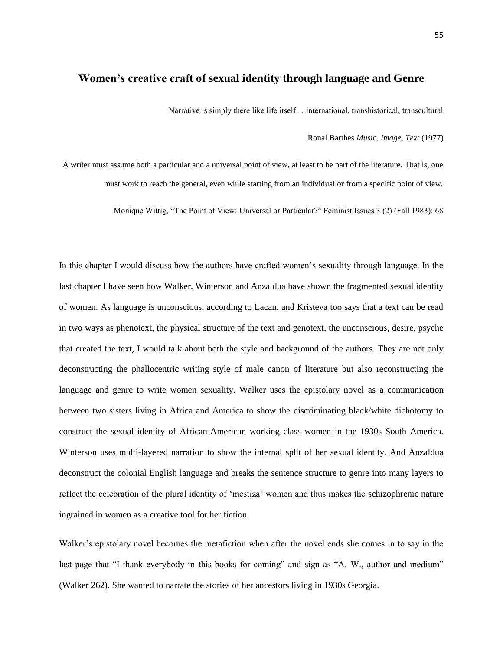# **Women's creative craft of sexual identity through language and Genre**

Narrative is simply there like life itself… international, transhistorical, transcultural

#### Ronal Barthes *Music, Image, Text* (1977)

A writer must assume both a particular and a universal point of view, at least to be part of the literature. That is, one must work to reach the general, even while starting from an individual or from a specific point of view.

Monique Wittig, "The Point of View: Universal or Particular?" Feminist Issues 3 (2) (Fall 1983): 68

In this chapter I would discuss how the authors have crafted women"s sexuality through language. In the last chapter I have seen how Walker, Winterson and Anzaldua have shown the fragmented sexual identity of women. As language is unconscious, according to Lacan, and Kristeva too says that a text can be read in two ways as phenotext, the physical structure of the text and genotext, the unconscious, desire, psyche that created the text, I would talk about both the style and background of the authors. They are not only deconstructing the phallocentric writing style of male canon of literature but also reconstructing the language and genre to write women sexuality. Walker uses the epistolary novel as a communication between two sisters living in Africa and America to show the discriminating black/white dichotomy to construct the sexual identity of African-American working class women in the 1930s South America. Winterson uses multi-layered narration to show the internal split of her sexual identity. And Anzaldua deconstruct the colonial English language and breaks the sentence structure to genre into many layers to reflect the celebration of the plural identity of "mestiza" women and thus makes the schizophrenic nature ingrained in women as a creative tool for her fiction.

Walker"s epistolary novel becomes the metafiction when after the novel ends she comes in to say in the last page that "I thank everybody in this books for coming" and sign as "A. W., author and medium" (Walker 262). She wanted to narrate the stories of her ancestors living in 1930s Georgia.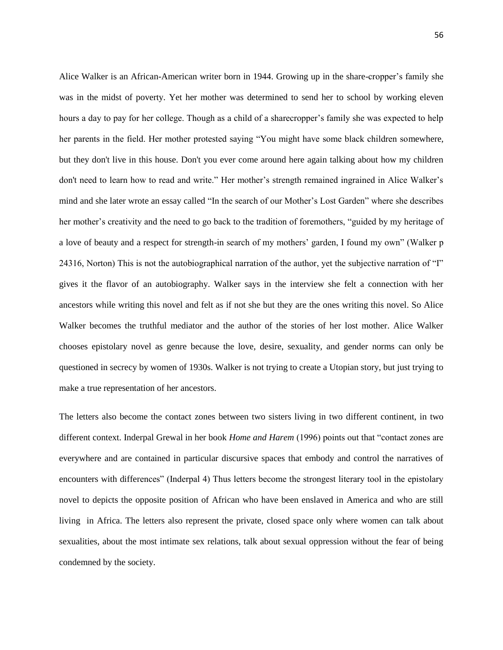Alice Walker is an African-American writer born in 1944. Growing up in the share-cropper's family she was in the midst of poverty. Yet her mother was determined to send her to school by working eleven hours a day to pay for her college. Though as a child of a sharecropper"s family she was expected to help her parents in the field. Her mother protested saying "You might have some black children somewhere, but they don't live in this house. Don't you ever come around here again talking about how my children don't need to learn how to read and write." Her mother's strength remained ingrained in Alice Walker's mind and she later wrote an essay called "In the search of our Mother"s Lost Garden" where she describes her mother"s creativity and the need to go back to the tradition of foremothers, "guided by my heritage of a love of beauty and a respect for strength-in search of my mothers" garden, I found my own" (Walker p 24316, Norton) This is not the autobiographical narration of the author, yet the subjective narration of "I" gives it the flavor of an autobiography. Walker says in the interview she felt a connection with her ancestors while writing this novel and felt as if not she but they are the ones writing this novel. So Alice Walker becomes the truthful mediator and the author of the stories of her lost mother. Alice Walker chooses epistolary novel as genre because the love, desire, sexuality, and gender norms can only be questioned in secrecy by women of 1930s. Walker is not trying to create a Utopian story, but just trying to make a true representation of her ancestors.

The letters also become the contact zones between two sisters living in two different continent, in two different context. Inderpal Grewal in her book *Home and Harem* (1996) points out that "contact zones are everywhere and are contained in particular discursive spaces that embody and control the narratives of encounters with differences" (Inderpal 4) Thus letters become the strongest literary tool in the epistolary novel to depicts the opposite position of African who have been enslaved in America and who are still living in Africa. The letters also represent the private, closed space only where women can talk about sexualities, about the most intimate sex relations, talk about sexual oppression without the fear of being condemned by the society.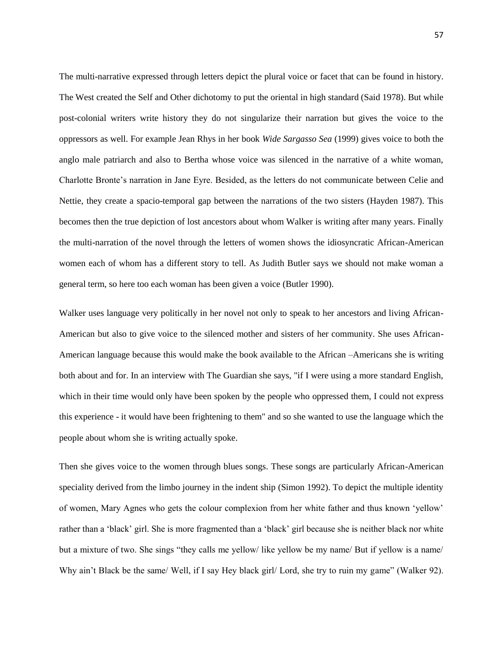The multi-narrative expressed through letters depict the plural voice or facet that can be found in history. The West created the Self and Other dichotomy to put the oriental in high standard (Said 1978). But while post-colonial writers write history they do not singularize their narration but gives the voice to the oppressors as well. For example Jean Rhys in her book *Wide Sargasso Sea* (1999) gives voice to both the anglo male patriarch and also to Bertha whose voice was silenced in the narrative of a white woman, Charlotte Bronte"s narration in Jane Eyre. Besided, as the letters do not communicate between Celie and Nettie, they create a spacio-temporal gap between the narrations of the two sisters (Hayden 1987). This becomes then the true depiction of lost ancestors about whom Walker is writing after many years. Finally the multi-narration of the novel through the letters of women shows the idiosyncratic African-American women each of whom has a different story to tell. As Judith Butler says we should not make woman a general term, so here too each woman has been given a voice (Butler 1990).

Walker uses language very politically in her novel not only to speak to her ancestors and living African-American but also to give voice to the silenced mother and sisters of her community. She uses African-American language because this would make the book available to the African –Americans she is writing both about and for. In an interview with The Guardian she says, "if I were using a more standard English, which in their time would only have been spoken by the people who oppressed them, I could not express this experience - it would have been frightening to them" and so she wanted to use the language which the people about whom she is writing actually spoke.

Then she gives voice to the women through blues songs. These songs are particularly African-American speciality derived from the limbo journey in the indent ship (Simon 1992). To depict the multiple identity of women, Mary Agnes who gets the colour complexion from her white father and thus known "yellow" rather than a "black" girl. She is more fragmented than a "black" girl because she is neither black nor white but a mixture of two. She sings "they calls me yellow/ like yellow be my name/ But if yellow is a name/ Why ain't Black be the same/ Well, if I say Hey black girl/ Lord, she try to ruin my game" (Walker 92).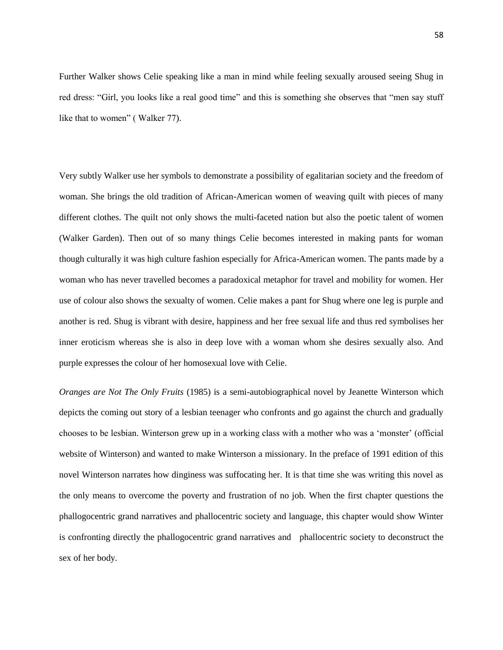Further Walker shows Celie speaking like a man in mind while feeling sexually aroused seeing Shug in red dress: "Girl, you looks like a real good time" and this is something she observes that "men say stuff like that to women" ( Walker 77).

Very subtly Walker use her symbols to demonstrate a possibility of egalitarian society and the freedom of woman. She brings the old tradition of African-American women of weaving quilt with pieces of many different clothes. The quilt not only shows the multi-faceted nation but also the poetic talent of women (Walker Garden). Then out of so many things Celie becomes interested in making pants for woman though culturally it was high culture fashion especially for Africa-American women. The pants made by a woman who has never travelled becomes a paradoxical metaphor for travel and mobility for women. Her use of colour also shows the sexualty of women. Celie makes a pant for Shug where one leg is purple and another is red. Shug is vibrant with desire, happiness and her free sexual life and thus red symbolises her inner eroticism whereas she is also in deep love with a woman whom she desires sexually also. And purple expresses the colour of her homosexual love with Celie.

*Oranges are Not The Only Fruits* (1985) is a semi-autobiographical novel by Jeanette Winterson which depicts the coming out story of a lesbian teenager who confronts and go against the church and gradually chooses to be lesbian. Winterson grew up in a working class with a mother who was a "monster" (official website of Winterson) and wanted to make Winterson a missionary. In the preface of 1991 edition of this novel Winterson narrates how dinginess was suffocating her. It is that time she was writing this novel as the only means to overcome the poverty and frustration of no job. When the first chapter questions the phallogocentric grand narratives and phallocentric society and language, this chapter would show Winter is confronting directly the phallogocentric grand narratives and phallocentric society to deconstruct the sex of her body.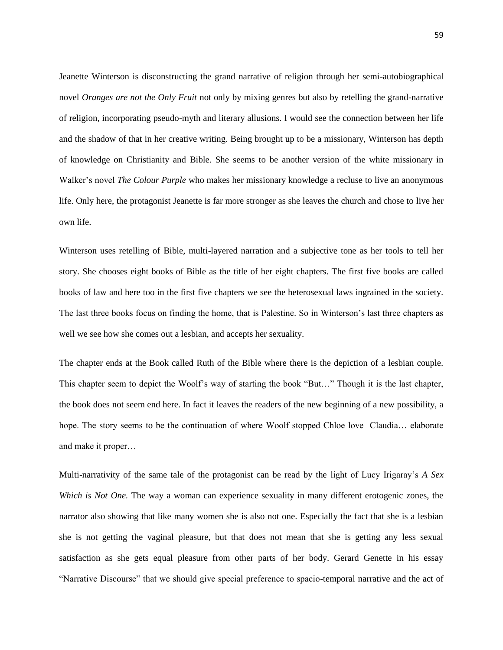Jeanette Winterson is disconstructing the grand narrative of religion through her semi-autobiographical novel *Oranges are not the Only Fruit* not only by mixing genres but also by retelling the grand-narrative of religion, incorporating pseudo-myth and literary allusions. I would see the connection between her life and the shadow of that in her creative writing. Being brought up to be a missionary, Winterson has depth of knowledge on Christianity and Bible. She seems to be another version of the white missionary in Walker"s novel *The Colour Purple* who makes her missionary knowledge a recluse to live an anonymous life. Only here, the protagonist Jeanette is far more stronger as she leaves the church and chose to live her own life.

Winterson uses retelling of Bible, multi-layered narration and a subjective tone as her tools to tell her story. She chooses eight books of Bible as the title of her eight chapters. The first five books are called books of law and here too in the first five chapters we see the heterosexual laws ingrained in the society. The last three books focus on finding the home, that is Palestine. So in Winterson"s last three chapters as well we see how she comes out a lesbian, and accepts her sexuality.

The chapter ends at the Book called Ruth of the Bible where there is the depiction of a lesbian couple. This chapter seem to depict the Woolf"s way of starting the book "But…" Though it is the last chapter, the book does not seem end here. In fact it leaves the readers of the new beginning of a new possibility, a hope. The story seems to be the continuation of where Woolf stopped Chloe love Claudia... elaborate and make it proper…

Multi-narrativity of the same tale of the protagonist can be read by the light of Lucy Irigaray"s *A Sex Which is Not One.* The way a woman can experience sexuality in many different erotogenic zones, the narrator also showing that like many women she is also not one. Especially the fact that she is a lesbian she is not getting the vaginal pleasure, but that does not mean that she is getting any less sexual satisfaction as she gets equal pleasure from other parts of her body. Gerard Genette in his essay "Narrative Discourse" that we should give special preference to spacio-temporal narrative and the act of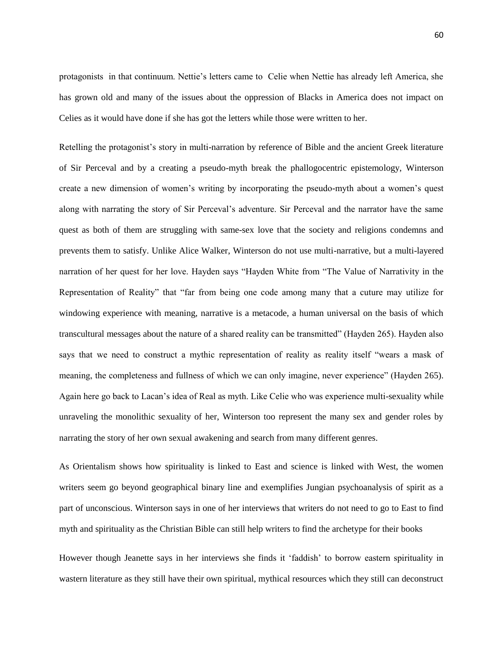protagonists in that continuum. Nettie"s letters came to Celie when Nettie has already left America, she has grown old and many of the issues about the oppression of Blacks in America does not impact on Celies as it would have done if she has got the letters while those were written to her.

Retelling the protagonist"s story in multi-narration by reference of Bible and the ancient Greek literature of Sir Perceval and by a creating a pseudo-myth break the phallogocentric epistemology, Winterson create a new dimension of women"s writing by incorporating the pseudo-myth about a women"s quest along with narrating the story of Sir Perceval"s adventure. Sir Perceval and the narrator have the same quest as both of them are struggling with same-sex love that the society and religions condemns and prevents them to satisfy. Unlike Alice Walker, Winterson do not use multi-narrative, but a multi-layered narration of her quest for her love. Hayden says "Hayden White from "The Value of Narrativity in the Representation of Reality" that "far from being one code among many that a cuture may utilize for windowing experience with meaning, narrative is a metacode, a human universal on the basis of which transcultural messages about the nature of a shared reality can be transmitted" (Hayden 265). Hayden also says that we need to construct a mythic representation of reality as reality itself "wears a mask of meaning, the completeness and fullness of which we can only imagine, never experience" (Hayden 265). Again here go back to Lacan"s idea of Real as myth. Like Celie who was experience multi-sexuality while unraveling the monolithic sexuality of her, Winterson too represent the many sex and gender roles by narrating the story of her own sexual awakening and search from many different genres.

As Orientalism shows how spirituality is linked to East and science is linked with West, the women writers seem go beyond geographical binary line and exemplifies Jungian psychoanalysis of spirit as a part of unconscious. Winterson says in one of her interviews that writers do not need to go to East to find myth and spirituality as the Christian Bible can still help writers to find the archetype for their books

However though Jeanette says in her interviews she finds it "faddish" to borrow eastern spirituality in wastern literature as they still have their own spiritual, mythical resources which they still can deconstruct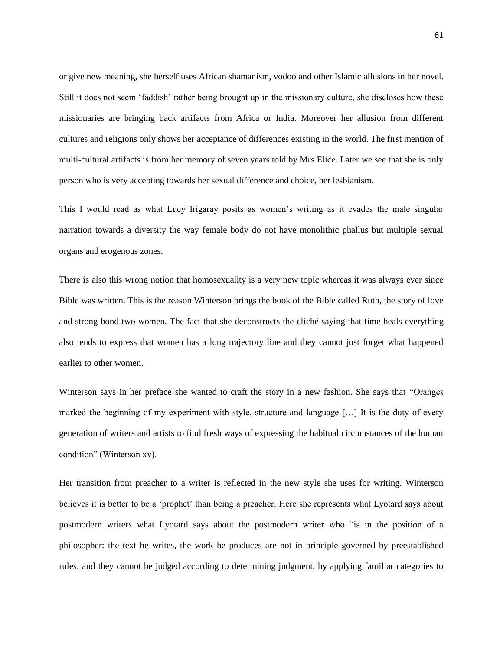or give new meaning, she herself uses African shamanism, vodoo and other Islamic allusions in her novel. Still it does not seem "faddish" rather being brought up in the missionary culture, she discloses how these missionaries are bringing back artifacts from Africa or India. Moreover her allusion from different cultures and religions only shows her acceptance of differences existing in the world. The first mention of multi-cultural artifacts is from her memory of seven years told by Mrs Elice. Later we see that she is only person who is very accepting towards her sexual difference and choice, her lesbianism.

This I would read as what Lucy Irigaray posits as women"s writing as it evades the male singular narration towards a diversity the way female body do not have monolithic phallus but multiple sexual organs and erogenous zones.

There is also this wrong notion that homosexuality is a very new topic whereas it was always ever since Bible was written. This is the reason Winterson brings the book of the Bible called Ruth, the story of love and strong bond two women. The fact that she deconstructs the cliché saying that time heals everything also tends to express that women has a long trajectory line and they cannot just forget what happened earlier to other women.

Winterson says in her preface she wanted to craft the story in a new fashion. She says that "Oranges marked the beginning of my experiment with style, structure and language […] It is the duty of every generation of writers and artists to find fresh ways of expressing the habitual circumstances of the human condition" (Winterson xv).

Her transition from preacher to a writer is reflected in the new style she uses for writing. Winterson believes it is better to be a "prophet" than being a preacher. Here she represents what Lyotard says about postmodern writers what Lyotard says about the postmodern writer who "is in the position of a philosopher: the text he writes, the work he produces are not in principle governed by preestablished rules, and they cannot be judged according to determining judgment, by applying familiar categories to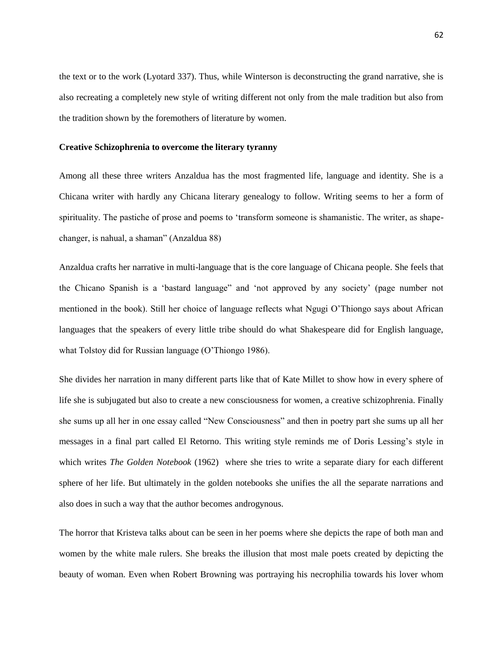the text or to the work (Lyotard 337). Thus, while Winterson is deconstructing the grand narrative, she is also recreating a completely new style of writing different not only from the male tradition but also from the tradition shown by the foremothers of literature by women.

#### **Creative Schizophrenia to overcome the literary tyranny**

Among all these three writers Anzaldua has the most fragmented life, language and identity. She is a Chicana writer with hardly any Chicana literary genealogy to follow. Writing seems to her a form of spirituality. The pastiche of prose and poems to 'transform someone is shamanistic. The writer, as shapechanger, is nahual, a shaman" (Anzaldua 88)

Anzaldua crafts her narrative in multi-language that is the core language of Chicana people. She feels that the Chicano Spanish is a "bastard language" and "not approved by any society" (page number not mentioned in the book). Still her choice of language reflects what Ngugi O"Thiongo says about African languages that the speakers of every little tribe should do what Shakespeare did for English language, what Tolstoy did for Russian language (O"Thiongo 1986).

She divides her narration in many different parts like that of Kate Millet to show how in every sphere of life she is subjugated but also to create a new consciousness for women, a creative schizophrenia. Finally she sums up all her in one essay called "New Consciousness" and then in poetry part she sums up all her messages in a final part called El Retorno. This writing style reminds me of Doris Lessing"s style in which writes *The Golden Notebook* (1962) where she tries to write a separate diary for each different sphere of her life. But ultimately in the golden notebooks she unifies the all the separate narrations and also does in such a way that the author becomes androgynous.

The horror that Kristeva talks about can be seen in her poems where she depicts the rape of both man and women by the white male rulers. She breaks the illusion that most male poets created by depicting the beauty of woman. Even when Robert Browning was portraying his necrophilia towards his lover whom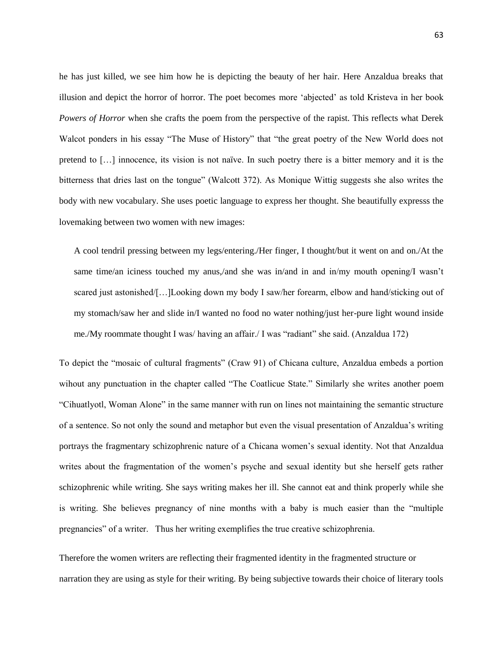he has just killed, we see him how he is depicting the beauty of her hair. Here Anzaldua breaks that illusion and depict the horror of horror. The poet becomes more "abjected" as told Kristeva in her book *Powers of Horror* when she crafts the poem from the perspective of the rapist. This reflects what Derek Walcot ponders in his essay "The Muse of History" that "the great poetry of the New World does not pretend to […] innocence, its vision is not naïve. In such poetry there is a bitter memory and it is the bitterness that dries last on the tongue" (Walcott 372). As Monique Wittig suggests she also writes the body with new vocabulary. She uses poetic language to express her thought. She beautifully expresss the lovemaking between two women with new images:

A cool tendril pressing between my legs/entering./Her finger, I thought/but it went on and on./At the same time/an iciness touched my anus,/and she was in/and in and in/my mouth opening/I wasn't scared just astonished/[…]Looking down my body I saw/her forearm, elbow and hand/sticking out of my stomach/saw her and slide in/I wanted no food no water nothing/just her-pure light wound inside me./My roommate thought I was/ having an affair./ I was "radiant" she said. (Anzaldua 172)

To depict the "mosaic of cultural fragments" (Craw 91) of Chicana culture, Anzaldua embeds a portion wihout any punctuation in the chapter called "The Coatlicue State." Similarly she writes another poem "Cihuatlyotl, Woman Alone" in the same manner with run on lines not maintaining the semantic structure of a sentence. So not only the sound and metaphor but even the visual presentation of Anzaldua"s writing portrays the fragmentary schizophrenic nature of a Chicana women"s sexual identity. Not that Anzaldua writes about the fragmentation of the women"s psyche and sexual identity but she herself gets rather schizophrenic while writing. She says writing makes her ill. She cannot eat and think properly while she is writing. She believes pregnancy of nine months with a baby is much easier than the "multiple pregnancies" of a writer. Thus her writing exemplifies the true creative schizophrenia.

Therefore the women writers are reflecting their fragmented identity in the fragmented structure or narration they are using as style for their writing. By being subjective towards their choice of literary tools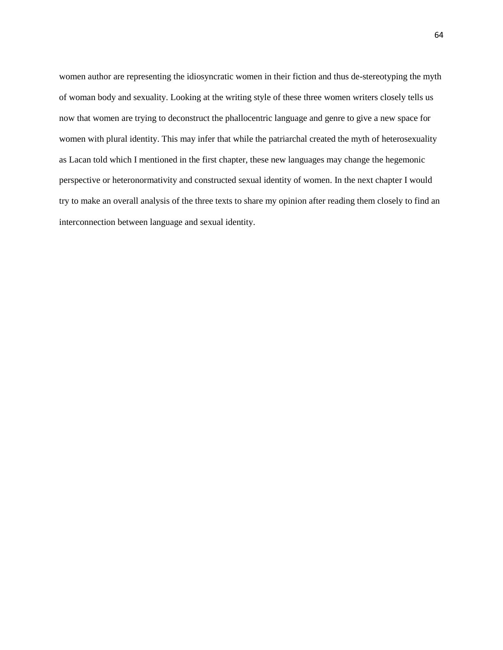women author are representing the idiosyncratic women in their fiction and thus de-stereotyping the myth of woman body and sexuality. Looking at the writing style of these three women writers closely tells us now that women are trying to deconstruct the phallocentric language and genre to give a new space for women with plural identity. This may infer that while the patriarchal created the myth of heterosexuality as Lacan told which I mentioned in the first chapter, these new languages may change the hegemonic perspective or heteronormativity and constructed sexual identity of women. In the next chapter I would try to make an overall analysis of the three texts to share my opinion after reading them closely to find an interconnection between language and sexual identity.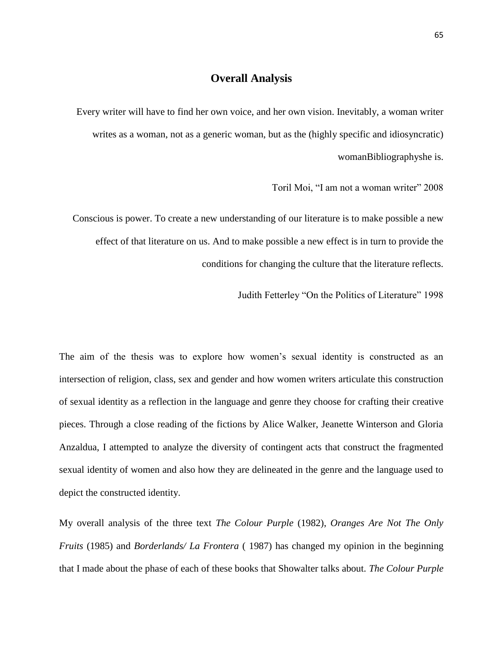# **Overall Analysis**

Every writer will have to find her own voice, and her own vision. Inevitably, a woman writer writes as a woman, not as a generic woman, but as the (highly specific and idiosyncratic) womanBibliographyshe is.

Toril Moi, "I am not a woman writer" 2008

Conscious is power. To create a new understanding of our literature is to make possible a new effect of that literature on us. And to make possible a new effect is in turn to provide the conditions for changing the culture that the literature reflects.

Judith Fetterley "On the Politics of Literature" 1998

The aim of the thesis was to explore how women's sexual identity is constructed as an intersection of religion, class, sex and gender and how women writers articulate this construction of sexual identity as a reflection in the language and genre they choose for crafting their creative pieces. Through a close reading of the fictions by Alice Walker, Jeanette Winterson and Gloria Anzaldua, I attempted to analyze the diversity of contingent acts that construct the fragmented sexual identity of women and also how they are delineated in the genre and the language used to depict the constructed identity.

My overall analysis of the three text *The Colour Purple* (1982), *Oranges Are Not The Only Fruits* (1985) and *Borderlands/ La Frontera* ( 1987) has changed my opinion in the beginning that I made about the phase of each of these books that Showalter talks about. *The Colour Purple*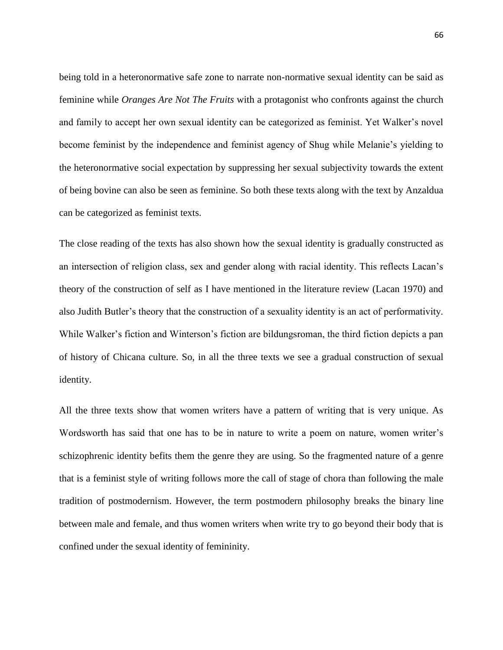being told in a heteronormative safe zone to narrate non-normative sexual identity can be said as feminine while *Oranges Are Not The Fruits* with a protagonist who confronts against the church and family to accept her own sexual identity can be categorized as feminist. Yet Walker"s novel become feminist by the independence and feminist agency of Shug while Melanie"s yielding to the heteronormative social expectation by suppressing her sexual subjectivity towards the extent of being bovine can also be seen as feminine. So both these texts along with the text by Anzaldua can be categorized as feminist texts.

The close reading of the texts has also shown how the sexual identity is gradually constructed as an intersection of religion class, sex and gender along with racial identity. This reflects Lacan"s theory of the construction of self as I have mentioned in the literature review (Lacan 1970) and also Judith Butler"s theory that the construction of a sexuality identity is an act of performativity. While Walker's fiction and Winterson's fiction are bildungsroman, the third fiction depicts a pan of history of Chicana culture. So, in all the three texts we see a gradual construction of sexual identity.

All the three texts show that women writers have a pattern of writing that is very unique. As Wordsworth has said that one has to be in nature to write a poem on nature, women writer's schizophrenic identity befits them the genre they are using. So the fragmented nature of a genre that is a feminist style of writing follows more the call of stage of chora than following the male tradition of postmodernism. However, the term postmodern philosophy breaks the binary line between male and female, and thus women writers when write try to go beyond their body that is confined under the sexual identity of femininity.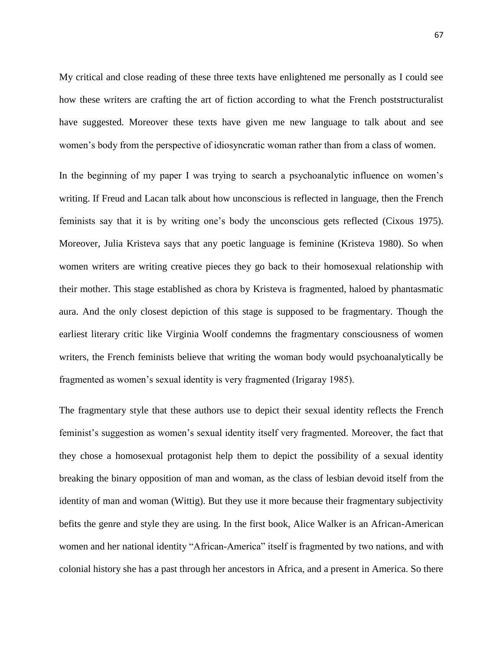My critical and close reading of these three texts have enlightened me personally as I could see how these writers are crafting the art of fiction according to what the French poststructuralist have suggested. Moreover these texts have given me new language to talk about and see women"s body from the perspective of idiosyncratic woman rather than from a class of women.

In the beginning of my paper I was trying to search a psychoanalytic influence on women's writing. If Freud and Lacan talk about how unconscious is reflected in language, then the French feminists say that it is by writing one"s body the unconscious gets reflected (Cixous 1975). Moreover, Julia Kristeva says that any poetic language is feminine (Kristeva 1980). So when women writers are writing creative pieces they go back to their homosexual relationship with their mother. This stage established as chora by Kristeva is fragmented, haloed by phantasmatic aura. And the only closest depiction of this stage is supposed to be fragmentary. Though the earliest literary critic like Virginia Woolf condemns the fragmentary consciousness of women writers, the French feminists believe that writing the woman body would psychoanalytically be fragmented as women"s sexual identity is very fragmented (Irigaray 1985).

The fragmentary style that these authors use to depict their sexual identity reflects the French feminist's suggestion as women's sexual identity itself very fragmented. Moreover, the fact that they chose a homosexual protagonist help them to depict the possibility of a sexual identity breaking the binary opposition of man and woman, as the class of lesbian devoid itself from the identity of man and woman (Wittig). But they use it more because their fragmentary subjectivity befits the genre and style they are using. In the first book, Alice Walker is an African-American women and her national identity "African-America" itself is fragmented by two nations, and with colonial history she has a past through her ancestors in Africa, and a present in America. So there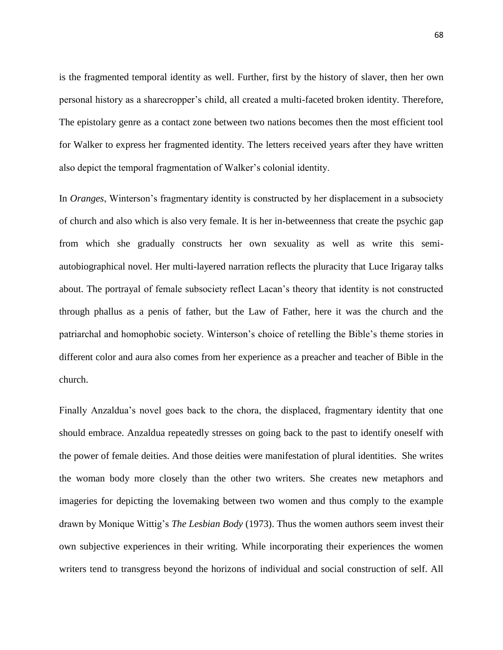is the fragmented temporal identity as well. Further, first by the history of slaver, then her own personal history as a sharecropper"s child, all created a multi-faceted broken identity. Therefore, The epistolary genre as a contact zone between two nations becomes then the most efficient tool for Walker to express her fragmented identity. The letters received years after they have written also depict the temporal fragmentation of Walker"s colonial identity.

In *Oranges*, Winterson's fragmentary identity is constructed by her displacement in a subsociety of church and also which is also very female. It is her in-betweenness that create the psychic gap from which she gradually constructs her own sexuality as well as write this semiautobiographical novel. Her multi-layered narration reflects the pluracity that Luce Irigaray talks about. The portrayal of female subsociety reflect Lacan"s theory that identity is not constructed through phallus as a penis of father, but the Law of Father, here it was the church and the patriarchal and homophobic society. Winterson"s choice of retelling the Bible"s theme stories in different color and aura also comes from her experience as a preacher and teacher of Bible in the church.

Finally Anzaldua's novel goes back to the chora, the displaced, fragmentary identity that one should embrace. Anzaldua repeatedly stresses on going back to the past to identify oneself with the power of female deities. And those deities were manifestation of plural identities. She writes the woman body more closely than the other two writers. She creates new metaphors and imageries for depicting the lovemaking between two women and thus comply to the example drawn by Monique Wittig"s *The Lesbian Body* (1973). Thus the women authors seem invest their own subjective experiences in their writing. While incorporating their experiences the women writers tend to transgress beyond the horizons of individual and social construction of self. All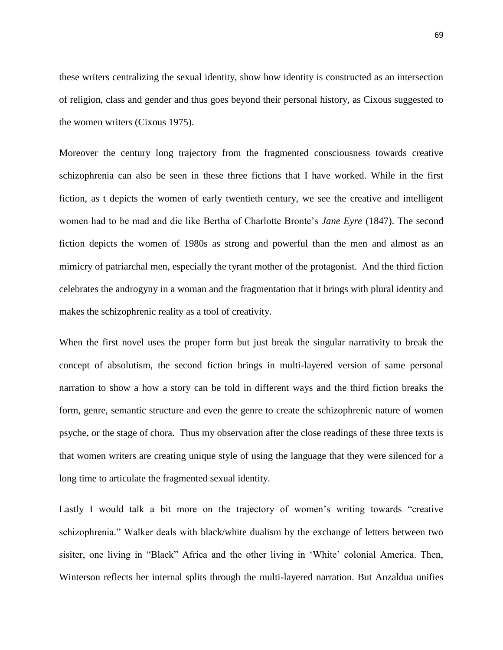these writers centralizing the sexual identity, show how identity is constructed as an intersection of religion, class and gender and thus goes beyond their personal history, as Cixous suggested to the women writers (Cixous 1975).

Moreover the century long trajectory from the fragmented consciousness towards creative schizophrenia can also be seen in these three fictions that I have worked. While in the first fiction, as t depicts the women of early twentieth century, we see the creative and intelligent women had to be mad and die like Bertha of Charlotte Bronte"s *Jane Eyre* (1847). The second fiction depicts the women of 1980s as strong and powerful than the men and almost as an mimicry of patriarchal men, especially the tyrant mother of the protagonist. And the third fiction celebrates the androgyny in a woman and the fragmentation that it brings with plural identity and makes the schizophrenic reality as a tool of creativity.

When the first novel uses the proper form but just break the singular narrativity to break the concept of absolutism, the second fiction brings in multi-layered version of same personal narration to show a how a story can be told in different ways and the third fiction breaks the form, genre, semantic structure and even the genre to create the schizophrenic nature of women psyche, or the stage of chora. Thus my observation after the close readings of these three texts is that women writers are creating unique style of using the language that they were silenced for a long time to articulate the fragmented sexual identity.

Lastly I would talk a bit more on the trajectory of women's writing towards "creative schizophrenia." Walker deals with black/white dualism by the exchange of letters between two sisiter, one living in "Black" Africa and the other living in "White" colonial America. Then, Winterson reflects her internal splits through the multi-layered narration. But Anzaldua unifies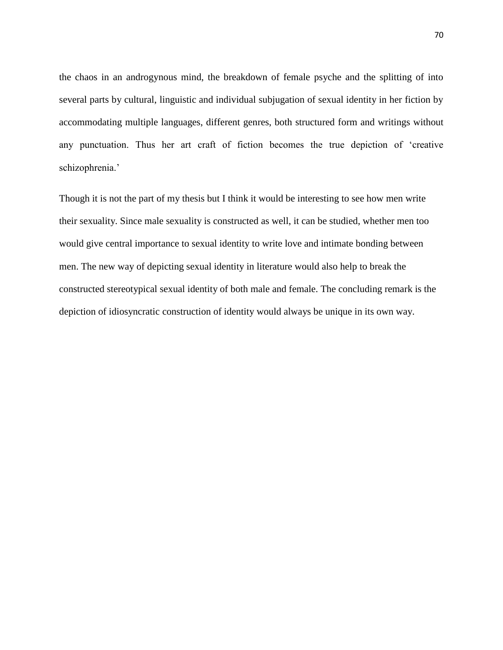the chaos in an androgynous mind, the breakdown of female psyche and the splitting of into several parts by cultural, linguistic and individual subjugation of sexual identity in her fiction by accommodating multiple languages, different genres, both structured form and writings without any punctuation. Thus her art craft of fiction becomes the true depiction of "creative schizophrenia.'

Though it is not the part of my thesis but I think it would be interesting to see how men write their sexuality. Since male sexuality is constructed as well, it can be studied, whether men too would give central importance to sexual identity to write love and intimate bonding between men. The new way of depicting sexual identity in literature would also help to break the constructed stereotypical sexual identity of both male and female. The concluding remark is the depiction of idiosyncratic construction of identity would always be unique in its own way.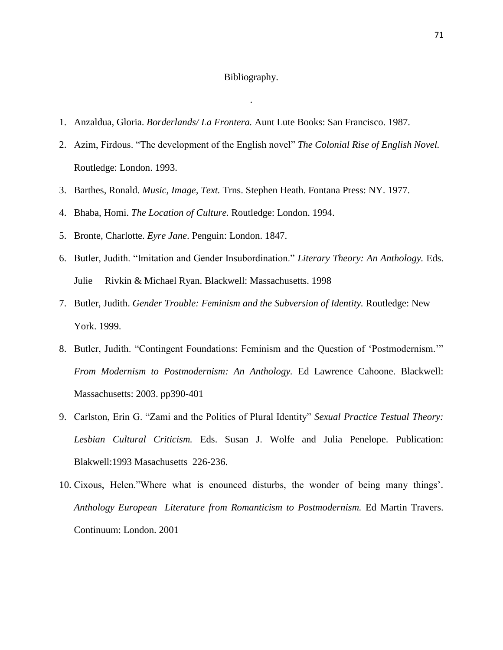#### Bibliography.

.

- 1. Anzaldua, Gloria. *Borderlands/ La Frontera.* Aunt Lute Books: San Francisco. 1987.
- 2. Azim, Firdous. "The development of the English novel" *The Colonial Rise of English Novel.*  Routledge: London. 1993.
- 3. Barthes, Ronald. *Music, Image, Text.* Trns. Stephen Heath. Fontana Press: NY. 1977.
- 4. Bhaba, Homi. *The Location of Culture.* Routledge: London. 1994.
- 5. Bronte, Charlotte. *Eyre Jane*. Penguin: London. 1847.
- 6. Butler, Judith. "Imitation and Gender Insubordination." *Literary Theory: An Anthology.* Eds. Julie Rivkin & Michael Ryan. Blackwell: Massachusetts. 1998
- 7. Butler, Judith. *Gender Trouble: Feminism and the Subversion of Identity.* Routledge: New York. 1999.
- 8. Butler, Judith. "Contingent Foundations: Feminism and the Question of "Postmodernism."" *From Modernism to Postmodernism: An Anthology.* Ed Lawrence Cahoone. Blackwell: Massachusetts: 2003. pp390-401
- 9. Carlston, Erin G. "Zami and the Politics of Plural Identity" *Sexual Practice Testual Theory: Lesbian Cultural Criticism.* Eds. Susan J. Wolfe and Julia Penelope. Publication: Blakwell:1993 Masachusetts 226-236.
- 10. Cixous, Helen."Where what is enounced disturbs, the wonder of being many things"*. Anthology European Literature from Romanticism to Postmodernism.* Ed Martin Travers. Continuum: London. 2001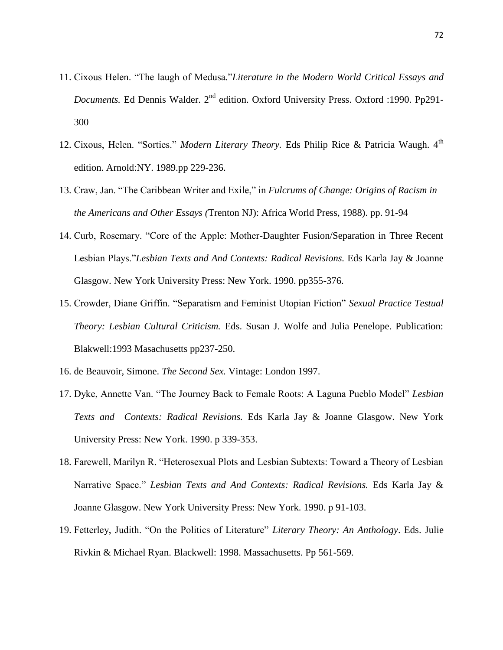- 11. Cixous Helen. "The laugh of Medusa."*Literature in the Modern World Critical Essays and Documents.* Ed Dennis Walder. 2<sup>nd</sup> edition. Oxford University Press. Oxford :1990. Pp291-300
- 12. Cixous, Helen. "Sorties." Modern Literary Theory. Eds Philip Rice & Patricia Waugh. 4<sup>th</sup> edition. Arnold:NY. 1989.pp 229-236.
- 13. Craw, Jan. "The Caribbean Writer and Exile," in *Fulcrums of Change: Origins of Racism in the Americans and Other Essays (*Trenton NJ): Africa World Press, 1988). pp. 91-94
- 14. Curb, Rosemary. "Core of the Apple: Mother-Daughter Fusion/Separation in Three Recent Lesbian Plays."*Lesbian Texts and And Contexts: Radical Revisions.* Eds Karla Jay & Joanne Glasgow. New York University Press: New York. 1990. pp355-376.
- 15. Crowder, Diane Griffin. "Separatism and Feminist Utopian Fiction" *Sexual Practice Testual Theory: Lesbian Cultural Criticism.* Eds. Susan J. Wolfe and Julia Penelope. Publication: Blakwell:1993 Masachusetts pp237-250.
- 16. de Beauvoir, Simone. *The Second Sex.* Vintage: London 1997.
- 17. Dyke, Annette Van. "The Journey Back to Female Roots: A Laguna Pueblo Model" *Lesbian Texts and Contexts: Radical Revisions.* Eds Karla Jay & Joanne Glasgow. New York University Press: New York. 1990. p 339-353.
- 18. Farewell, Marilyn R. "Heterosexual Plots and Lesbian Subtexts: Toward a Theory of Lesbian Narrative Space." *Lesbian Texts and And Contexts: Radical Revisions*. Eds Karla Jay & Joanne Glasgow. New York University Press: New York. 1990. p 91-103.
- 19. Fetterley, Judith. "On the Politics of Literature" *Literary Theory: An Anthology*. Eds. Julie Rivkin & Michael Ryan. Blackwell: 1998. Massachusetts. Pp 561-569.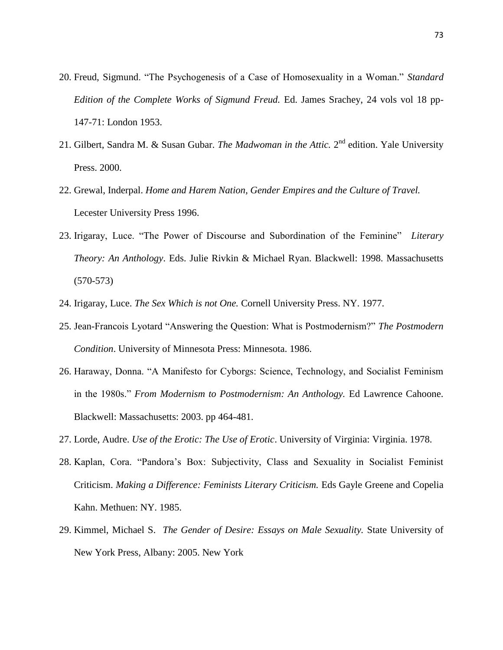- 20. Freud, Sigmund. "The Psychogenesis of a Case of Homosexuality in a Woman." *Standard Edition of the Complete Works of Sigmund Freud.* Ed. James Srachey, 24 vols vol 18 pp-147-71: London 1953.
- 21. Gilbert, Sandra M. & Susan Gubar. *The Madwoman in the Attic*. 2<sup>nd</sup> edition. Yale University Press. 2000.
- 22. Grewal, Inderpal. *Home and Harem Nation, Gender Empires and the Culture of Travel.* Lecester University Press 1996.
- 23. Irigaray, Luce. "The Power of Discourse and Subordination of the Feminine" *Literary Theory: An Anthology*. Eds. Julie Rivkin & Michael Ryan. Blackwell: 1998. Massachusetts (570-573)
- 24. Irigaray, Luce. *The Sex Which is not One.* Cornell University Press. NY. 1977.
- 25. Jean-Francois Lyotard "Answering the Question: What is Postmodernism?" *The Postmodern Condition*. University of Minnesota Press: Minnesota. 1986.
- 26. Haraway, Donna. "A Manifesto for Cyborgs: Science, Technology, and Socialist Feminism in the 1980s." *From Modernism to Postmodernism: An Anthology.* Ed Lawrence Cahoone. Blackwell: Massachusetts: 2003. pp 464-481.
- 27. Lorde, Audre. *Use of the Erotic: The Use of Erotic*. University of Virginia: Virginia. 1978.
- 28. Kaplan, Cora. "Pandora"s Box: Subjectivity, Class and Sexuality in Socialist Feminist Criticism. *Making a Difference: Feminists Literary Criticism.* Eds Gayle Greene and Copelia Kahn. Methuen: NY. 1985.
- 29. Kimmel, Michael S. *The Gender of Desire: Essays on Male Sexuality.* State University of New York Press, Albany: 2005. New York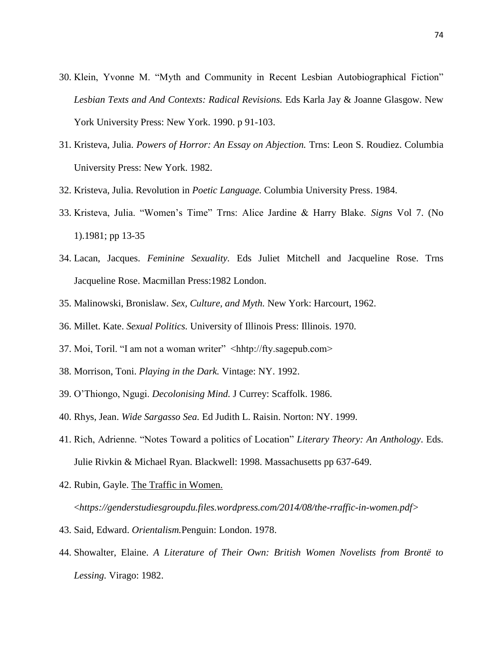- 30. Klein, Yvonne M. "Myth and Community in Recent Lesbian Autobiographical Fiction" *Lesbian Texts and And Contexts: Radical Revisions.* Eds Karla Jay & Joanne Glasgow. New York University Press: New York. 1990. p 91-103.
- 31. Kristeva, Julia. *Powers of Horror: An Essay on Abjection.* Trns: Leon S. Roudiez. Columbia University Press: New York. 1982.
- 32. Kristeva, Julia. Revolution in *Poetic Language.* Columbia University Press. 1984.
- 33. Kristeva, Julia. "Women"s Time" Trns: Alice Jardine & Harry Blake. *Signs* Vol 7. (No 1).1981; pp 13-35
- 34. Lacan, Jacques. *Feminine Sexuality.* Eds Juliet Mitchell and Jacqueline Rose. Trns Jacqueline Rose. Macmillan Press:1982 London.
- 35. Malinowski, Bronislaw. *Sex, Culture, and Myth.* New York: Harcourt, 1962.
- 36. Millet. Kate. *Sexual Politics.* University of Illinois Press: Illinois. 1970.
- 37. Moi, Toril. "I am not a woman writer" <hhtp://fty.sagepub.com>
- 38. Morrison, Toni. *Playing in the Dark.* Vintage: NY. 1992.
- 39. O"Thiongo, Ngugi. *Decolonising Mind.* J Currey: Scaffolk. 1986.
- 40. Rhys, Jean. *Wide Sargasso Sea.* Ed Judith L. Raisin. Norton: NY. 1999.
- 41. Rich, Adrienne. "Notes Toward a politics of Location" *Literary Theory: An Anthology*. Eds. Julie Rivkin & Michael Ryan. Blackwell: 1998. Massachusetts pp 637-649.
- 42. Rubin, Gayle. The Traffic in Women. <*https://genderstudiesgroupdu.files.wordpress.com/2014/08/the-rraffic-in-women.pdf>*
- 43. Said, Edward. *Orientalism.*Penguin: London. 1978.
- 44. Showalter, Elaine. *A Literature of Their Own: British Women Novelists from Brontë to Lessing.* Virago: 1982.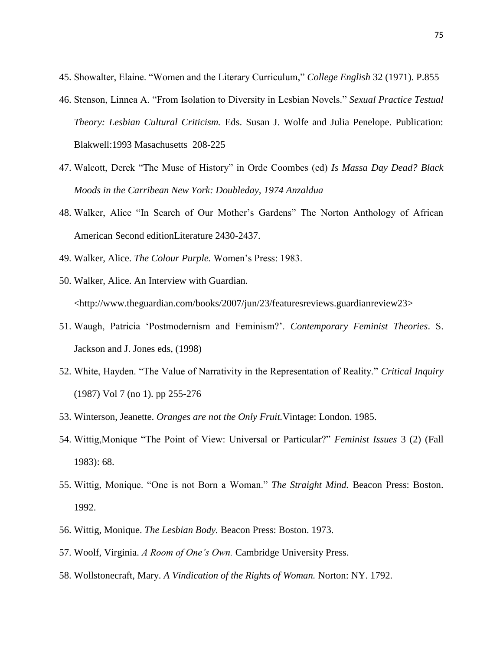- 45. Showalter, Elaine. "Women and the Literary Curriculum," *College English* 32 (1971). P.855
- 46. Stenson, Linnea A. "From Isolation to Diversity in Lesbian Novels." *Sexual Practice Testual Theory: Lesbian Cultural Criticism.* Eds. Susan J. Wolfe and Julia Penelope. Publication: Blakwell:1993 Masachusetts 208-225
- 47. Walcott, Derek "The Muse of History" in Orde Coombes (ed) *Is Massa Day Dead? Black Moods in the Carribean New York: Doubleday, 1974 Anzaldua*
- 48. Walker, Alice "In Search of Our Mother"s Gardens" The Norton Anthology of African American Second editionLiterature 2430-2437.
- 49. Walker, Alice. *The Colour Purple.* Women"s Press: 1983.
- 50. Walker, Alice. An Interview with Guardian. <http://www.theguardian.com/books/2007/jun/23/featuresreviews.guardianreview23>
- 51. Waugh, Patricia "Postmodernism and Feminism?". *Contemporary Feminist Theories*. S. Jackson and J. Jones eds, (1998)
- 52. White, Hayden. "The Value of Narrativity in the Representation of Reality." *Critical Inquiry* (1987) Vol 7 (no 1). pp 255-276
- 53. Winterson, Jeanette. *Oranges are not the Only Fruit.*Vintage: London. 1985.
- 54. Wittig,Monique "The Point of View: Universal or Particular?" *Feminist Issues* 3 (2) (Fall 1983): 68.
- 55. Wittig, Monique. "One is not Born a Woman." *The Straight Mind.* Beacon Press: Boston. 1992.
- 56. Wittig, Monique. *The Lesbian Body.* Beacon Press: Boston. 1973.
- 57. Woolf, Virginia. *A Room of One's Own.* Cambridge University Press.
- 58. Wollstonecraft, Mary. *A Vindication of the Rights of Woman.* Norton: NY. 1792.